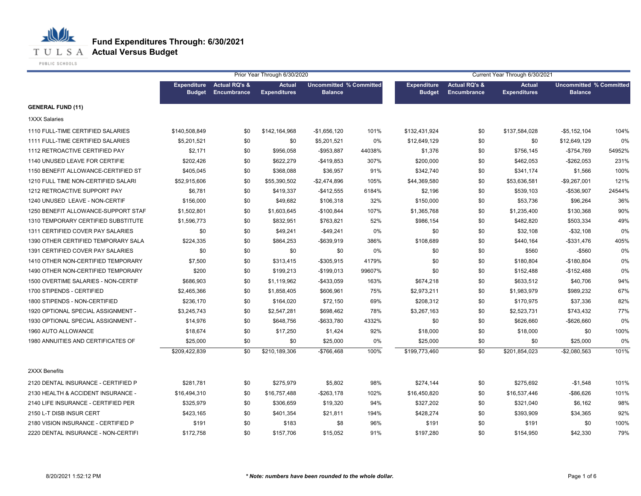## **Fund Expenditures Through: 6/30/2021**

**T U L S A Actual Versus Budget** 

PUBLIC SCHOOLS

|                                     | Prior Year Through 6/30/2020        |                                         |                                      |                                                  |        | Current Year Through 6/30/2021      |                                         |                                      |                                                  |        |  |
|-------------------------------------|-------------------------------------|-----------------------------------------|--------------------------------------|--------------------------------------------------|--------|-------------------------------------|-----------------------------------------|--------------------------------------|--------------------------------------------------|--------|--|
|                                     | <b>Expenditure</b><br><b>Budget</b> | <b>Actual RQ's &amp;</b><br>Encumbrance | <b>Actual</b><br><b>Expenditures</b> | <b>Uncommitted % Committed</b><br><b>Balance</b> |        | <b>Expenditure</b><br><b>Budget</b> | <b>Actual RQ's &amp;</b><br>Encumbrance | <b>Actual</b><br><b>Expenditures</b> | <b>Uncommitted % Committed</b><br><b>Balance</b> |        |  |
| <b>GENERAL FUND (11)</b>            |                                     |                                         |                                      |                                                  |        |                                     |                                         |                                      |                                                  |        |  |
| <b>1XXX Salaries</b>                |                                     |                                         |                                      |                                                  |        |                                     |                                         |                                      |                                                  |        |  |
| 1110 FULL-TIME CERTIFIED SALARIES   | \$140,508,849                       | \$0                                     | \$142,164,968                        | $-$1,656,120$                                    | 101%   | \$132,431,924                       | \$0                                     | \$137,584,028                        | $-$5,152,104$                                    | 104%   |  |
| 1111 FULL-TIME CERTIFIED SALARIES   | \$5,201,521                         | \$0                                     | \$0                                  | \$5,201,521                                      | 0%     | \$12,649,129                        | \$0                                     | \$0                                  | \$12,649,129                                     | 0%     |  |
| 1112 RETROACTIVE CERTIFIED PAY      | \$2,171                             | \$0                                     | \$956,058                            | $-$953,887$                                      | 44038% | \$1,376                             | \$0                                     | \$756,145                            | $-$754,769$                                      | 54952% |  |
| 1140 UNUSED LEAVE FOR CERTIFIE      | \$202,426                           | \$0                                     | \$622,279                            | $-$419.853$                                      | 307%   | \$200,000                           | \$0                                     | \$462,053                            | $-$262,053$                                      | 231%   |  |
| 1150 BENEFIT ALLOWANCE-CERTIFIED ST | \$405,045                           | \$0                                     | \$368,088                            | \$36,957                                         | 91%    | \$342,740                           | \$0                                     | \$341,174                            | \$1,566                                          | 100%   |  |
| 1210 FULL TIME NON-CERTIFIED SALARI | \$52,915,606                        | \$0                                     | \$55,390,502                         | -\$2,474,896                                     | 105%   | \$44,369,580                        | \$0                                     | \$53,636,581                         | $-$9,267,001$                                    | 121%   |  |
| 1212 RETROACTIVE SUPPORT PAY        | \$6,781                             | \$0                                     | \$419,337                            | $-$ \$412,555                                    | 6184%  | \$2,196                             | \$0                                     | \$539,103                            | -\$536,907                                       | 24544% |  |
| 1240 UNUSED LEAVE - NON-CERTIF      | \$156,000                           | \$0                                     | \$49,682                             | \$106,318                                        | 32%    | \$150,000                           | \$0                                     | \$53,736                             | \$96,264                                         | 36%    |  |
| 1250 BENEFIT ALLOWANCE-SUPPORT STAF | \$1,502,801                         | \$0                                     | \$1,603,645                          | $-$100,844$                                      | 107%   | \$1,365,768                         | \$0                                     | \$1,235,400                          | \$130,368                                        | 90%    |  |
| 1310 TEMPORARY CERTIFIED SUBSTITUTE | \$1,596,773                         | \$0                                     | \$832,951                            | \$763,821                                        | 52%    | \$986,154                           | \$0                                     | \$482,820                            | \$503,334                                        | 49%    |  |
| 1311 CERTIFIED COVER PAY SALARIES   | \$0                                 | \$0                                     | \$49,241                             | $-$49,241$                                       | 0%     | \$0                                 | \$0                                     | \$32,108                             | $- $32,108$                                      | 0%     |  |
| 1390 OTHER CERTIFIED TEMPORARY SALA | \$224,335                           | \$0                                     | \$864,253                            | -\$639,919                                       | 386%   | \$108,689                           | \$0                                     | \$440,164                            | $-$ \$331,476                                    | 405%   |  |
| 1391 CERTIFIED COVER PAY SALARIES   | \$0                                 | \$0                                     | \$0                                  | \$0                                              | 0%     | \$0                                 | \$0                                     | \$560                                | $-$560$                                          | 0%     |  |
| 1410 OTHER NON-CERTIFIED TEMPORARY  | \$7,500                             | \$0                                     | \$313,415                            | $-$ \$305,915                                    | 4179%  | \$0                                 | \$0                                     | \$180,804                            | $-$180,804$                                      | 0%     |  |
| 1490 OTHER NON-CERTIFIED TEMPORARY  | \$200                               | \$0                                     | \$199,213                            | $-$199,013$                                      | 99607% | \$0                                 | \$0                                     | \$152,488                            | $-$152,488$                                      | 0%     |  |
| 1500 OVERTIME SALARIES - NON-CERTIF | \$686,903                           | \$0                                     | \$1,119,962                          | -\$433,059                                       | 163%   | \$674,218                           | \$0                                     | \$633,512                            | \$40,706                                         | 94%    |  |
| 1700 STIPENDS - CERTIFIED           | \$2,465,366                         | \$0                                     | \$1,858,405                          | \$606,961                                        | 75%    | \$2,973,211                         | \$0                                     | \$1,983,979                          | \$989,232                                        | 67%    |  |
| 1800 STIPENDS - NON-CERTIFIED       | \$236,170                           | \$0                                     | \$164,020                            | \$72,150                                         | 69%    | \$208,312                           | \$0                                     | \$170,975                            | \$37,336                                         | 82%    |  |
| 1920 OPTIONAL SPECIAL ASSIGNMENT -  | \$3,245,743                         | \$0                                     | \$2,547,281                          | \$698,462                                        | 78%    | \$3,267,163                         | \$0                                     | \$2,523,731                          | \$743,432                                        | 77%    |  |
| 1930 OPTIONAL SPECIAL ASSIGNMENT -  | \$14,976                            | \$0                                     | \$648,756                            | -\$633,780                                       | 4332%  | \$0                                 | \$0                                     | \$626,660                            | -\$626,660                                       | 0%     |  |
| 1960 AUTO ALLOWANCE                 | \$18,674                            | \$0                                     | \$17,250                             | \$1,424                                          | 92%    | \$18,000                            | \$0                                     | \$18,000                             | \$0                                              | 100%   |  |
| 1980 ANNUITIES AND CERTIFICATES OF  | \$25,000                            | \$0                                     | \$0                                  | \$25,000                                         | 0%     | \$25,000                            | \$0                                     | \$0                                  | \$25,000                                         | 0%     |  |
|                                     | \$209,422,839                       | \$0                                     | \$210,189,306                        | -\$766,468                                       | 100%   | \$199,773,460                       | \$0                                     | \$201,854,023                        | $-$2,080,563$                                    | 101%   |  |
| 2XXX Benefits                       |                                     |                                         |                                      |                                                  |        |                                     |                                         |                                      |                                                  |        |  |
| 2120 DENTAL INSURANCE - CERTIFIED P | \$281,781                           | \$0                                     | \$275,979                            | \$5,802                                          | 98%    | \$274,144                           | \$0                                     | \$275,692                            | $-$1,548$                                        | 101%   |  |
| 2130 HEALTH & ACCIDENT INSURANCE -  | \$16,494,310                        | \$0                                     | \$16,757,488                         | -\$263,178                                       | 102%   | \$16,450,820                        | \$0                                     | \$16,537,446                         | -\$86,626                                        | 101%   |  |
| 2140 LIFE INSURANCE - CERTIFIED PER | \$325,979                           | \$0                                     | \$306,659                            | \$19,320                                         | 94%    | \$327,202                           | \$0                                     | \$321,040                            | \$6,162                                          | 98%    |  |
| 2150 L-T DISB INSUR CERT            | \$423,165                           | \$0                                     | \$401,354                            | \$21,811                                         | 194%   | \$428,274                           | \$0                                     | \$393,909                            | \$34,365                                         | 92%    |  |
| 2180 VISION INSURANCE - CERTIFIED P | \$191                               | \$0                                     | \$183                                | \$8                                              | 96%    | \$191                               | \$0                                     | \$191                                | \$0                                              | 100%   |  |
| 2220 DENTAL INSURANCE - NON-CERTIFI | \$172,758                           | \$0                                     | \$157,706                            | \$15,052                                         | 91%    | \$197,280                           | \$0                                     | \$154,950                            | \$42,330                                         | 79%    |  |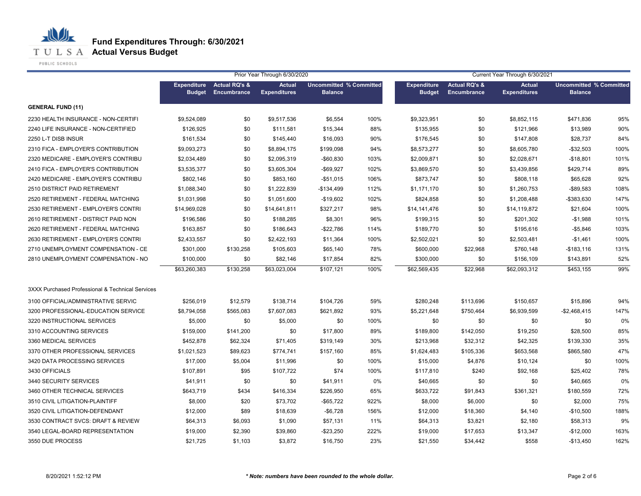## **Fund Expenditures Through: 6/30/2021**

**T U L S A Actual Versus Budget** 

PUBLIC SCHOOLS

|                                                  |                                     |                                         | Prior Year Through 6/30/2020         |                                                  |      |                                     |                                                | Current Year Through 6/30/2021       |                                                  |      |
|--------------------------------------------------|-------------------------------------|-----------------------------------------|--------------------------------------|--------------------------------------------------|------|-------------------------------------|------------------------------------------------|--------------------------------------|--------------------------------------------------|------|
|                                                  | <b>Expenditure</b><br><b>Budget</b> | <b>Actual RQ's &amp;</b><br>Encumbrance | <b>Actual</b><br><b>Expenditures</b> | <b>Uncommitted % Committed</b><br><b>Balance</b> |      | <b>Expenditure</b><br><b>Budget</b> | <b>Actual RQ's &amp;</b><br><b>Encumbrance</b> | <b>Actual</b><br><b>Expenditures</b> | <b>Uncommitted % Committed</b><br><b>Balance</b> |      |
| <b>GENERAL FUND (11)</b>                         |                                     |                                         |                                      |                                                  |      |                                     |                                                |                                      |                                                  |      |
| 2230 HEALTH INSURANCE - NON-CERTIFI              | \$9,524,089                         | \$0                                     | \$9,517,536                          | \$6,554                                          | 100% | \$9,323,951                         | \$0                                            | \$8,852,115                          | \$471,836                                        | 95%  |
| 2240 LIFE INSURANCE - NON-CERTIFIED              | \$126,925                           | \$0                                     | \$111,581                            | \$15,344                                         | 88%  | \$135,955                           | \$0                                            | \$121,966                            | \$13,989                                         | 90%  |
| 2250 L-T DISB INSUR                              | \$161,534                           | \$0                                     | \$145,440                            | \$16,093                                         | 90%  | \$176,545                           | \$0                                            | \$147,808                            | \$28,737                                         | 84%  |
| 2310 FICA - EMPLOYER'S CONTRIBUTION              | \$9,093,273                         | \$0                                     | \$8,894,175                          | \$199,098                                        | 94%  | \$8,573,277                         | \$0                                            | \$8,605,780                          | -\$32,503                                        | 100% |
| 2320 MEDICARE - EMPLOYER'S CONTRIBU              | \$2,034,489                         | \$0                                     | \$2,095,319                          | $-$ \$60,830                                     | 103% | \$2,009,871                         | \$0                                            | \$2,028,671                          | $-$18,801$                                       | 101% |
| 2410 FICA - EMPLOYER'S CONTRIBUTION              | \$3,535,377                         | \$0                                     | \$3,605,304                          | $-$ \$69,927                                     | 102% | \$3,869,570                         | \$0                                            | \$3,439,856                          | \$429,714                                        | 89%  |
| 2420 MEDICARE - EMPLOYER'S CONTRIBU              | \$802,146                           | \$0                                     | \$853,160                            | $-$51,015$                                       | 106% | \$873,747                           | \$0                                            | \$808,118                            | \$65,628                                         | 92%  |
| 2510 DISTRICT PAID RETIREMENT                    | \$1,088,340                         | \$0                                     | \$1,222,839                          | -\$134,499                                       | 112% | \$1,171,170                         | \$0                                            | \$1,260,753                          | $-$ \$89,583                                     | 108% |
| 2520 RETIREMENT - FEDERAL MATCHING               | \$1,031,998                         | \$0                                     | \$1,051,600                          | $-$19,602$                                       | 102% | \$824,858                           | \$0                                            | \$1,208,488                          | -\$383,630                                       | 147% |
| 2530 RETIREMENT - EMPLOYER'S CONTRI              | \$14,969,028                        | \$0                                     | \$14,641,811                         | \$327,217                                        | 98%  | \$14,141,476                        | \$0                                            | \$14,119,872                         | \$21,604                                         | 100% |
| 2610 RETIREMENT - DISTRICT PAID NON              | \$196,586                           | \$0                                     | \$188,285                            | \$8,301                                          | 96%  | \$199,315                           | \$0                                            | \$201,302                            | $-$1,988$                                        | 101% |
| 2620 RETIREMENT - FEDERAL MATCHING               | \$163,857                           | \$0                                     | \$186,643                            | -\$22,786                                        | 114% | \$189,770                           | \$0                                            | \$195,616                            | $-$5,846$                                        | 103% |
| 2630 RETIREMENT - EMPLOYER'S CONTRI              | \$2,433,557                         | \$0                                     | \$2,422,193                          | \$11,364                                         | 100% | \$2,502,021                         | \$0                                            | \$2,503,481                          | $-$1,461$                                        | 100% |
| 2710 UNEMPLOYMENT COMPENSATION - CE              | \$301,000                           | \$130,258                               | \$105,603                            | \$65,140                                         | 78%  | \$600,000                           | \$22,968                                       | \$760,148                            | $-$183,116$                                      | 131% |
| 2810 UNEMPLOYMENT COMPENSATION - NO              | \$100,000                           | \$0                                     | \$82,146                             | \$17,854                                         | 82%  | \$300,000                           | \$0                                            | \$156,109                            | \$143,891                                        | 52%  |
|                                                  | \$63,260,383                        | \$130,258                               | \$63,023,004                         | \$107,121                                        | 100% | \$62,569,435                        | \$22,968                                       | \$62,093,312                         | \$453,155                                        | 99%  |
| 3XXX Purchased Professional & Technical Services |                                     |                                         |                                      |                                                  |      |                                     |                                                |                                      |                                                  |      |
| 3100 OFFICIAL/ADMINISTRATIVE SERVIC              | \$256,019                           | \$12,579                                | \$138,714                            | \$104,726                                        | 59%  | \$280,248                           | \$113,696                                      | \$150,657                            | \$15,896                                         | 94%  |
| 3200 PROFESSIONAL-EDUCATION SERVICE              | \$8,794,058                         | \$565,083                               | \$7,607,083                          | \$621,892                                        | 93%  | \$5,221,648                         | \$750,464                                      | \$6,939,599                          | $-$2,468,415$                                    | 147% |
| 3220 INSTRUCTIONAL SERVICES                      | \$5,000                             | \$0                                     | \$5,000                              | \$0                                              | 100% | \$0                                 | \$0                                            | \$0                                  | \$0                                              | 0%   |
| 3310 ACCOUNTING SERVICES                         | \$159,000                           | \$141,200                               | \$0                                  | \$17,800                                         | 89%  | \$189,800                           | \$142,050                                      | \$19,250                             | \$28,500                                         | 85%  |
| 3360 MEDICAL SERVICES                            | \$452,878                           | \$62,324                                | \$71,405                             | \$319,149                                        | 30%  | \$213,968                           | \$32,312                                       | \$42,325                             | \$139,330                                        | 35%  |
| 3370 OTHER PROFESSIONAL SERVICES                 | \$1,021,523                         | \$89,623                                | \$774,741                            | \$157,160                                        | 85%  | \$1,624,483                         | \$105,336                                      | \$653,568                            | \$865,580                                        | 47%  |
| 3420 DATA PROCESSING SERVICES                    | \$17,000                            | \$5,004                                 | \$11,996                             | \$0                                              | 100% | \$15,000                            | \$4,876                                        | \$10,124                             | \$0                                              | 100% |
| 3430 OFFICIALS                                   | \$107,891                           | \$95                                    | \$107,722                            | \$74                                             | 100% | \$117,810                           | \$240                                          | \$92,168                             | \$25,402                                         | 78%  |
| 3440 SECURITY SERVICES                           | \$41,911                            | \$0                                     | \$0                                  | \$41,911                                         | 0%   | \$40,665                            | \$0                                            | \$0                                  | \$40,665                                         | 0%   |
| 3460 OTHER TECHNICAL SERVICES                    | \$643,719                           | \$434                                   | \$416,334                            | \$226,950                                        | 65%  | \$633,722                           | \$91,843                                       | \$361,321                            | \$180,559                                        | 72%  |
| 3510 CIVIL LITIGATION-PLAINTIFF                  | \$8,000                             | \$20                                    | \$73,702                             | -\$65,722                                        | 922% | \$8,000                             | \$6,000                                        | \$0                                  | \$2,000                                          | 75%  |
| 3520 CIVIL LITIGATION-DEFENDANT                  | \$12,000                            | \$89                                    | \$18,639                             | $-$6,728$                                        | 156% | \$12,000                            | \$18,360                                       | \$4,140                              | $-$10,500$                                       | 188% |
| 3530 CONTRACT SVCS: DRAFT & REVIEW               | \$64,313                            | \$6,093                                 | \$1,090                              | \$57,131                                         | 11%  | \$64,313                            | \$3,821                                        | \$2,180                              | \$58,313                                         | 9%   |
| 3540 LEGAL-BOARD REPRESENTATION                  | \$19,000                            | \$2,390                                 | \$39,860                             | -\$23,250                                        | 222% | \$19,000                            | \$17,653                                       | \$13,347                             | $-$12,000$                                       | 163% |
| 3550 DUE PROCESS                                 | \$21,725                            | \$1,103                                 | \$3,872                              | \$16,750                                         | 23%  | \$21,550                            | \$34,442                                       | \$558                                | -\$13,450                                        | 162% |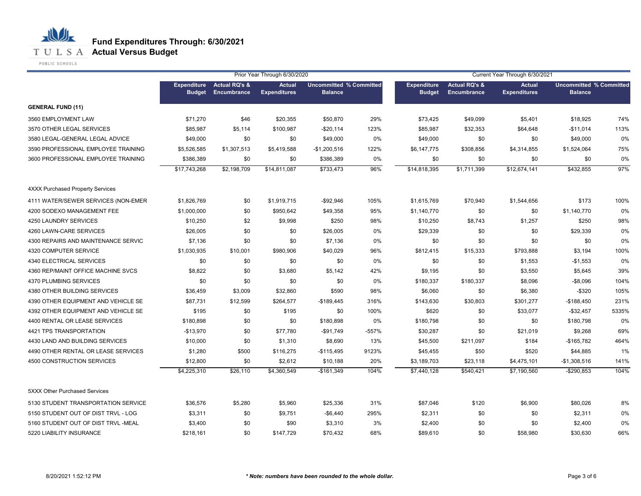## **Fund Expenditures Through: 6/30/2021**

**T U L S A Actual Versus Budget** 

PUBLIC SCHOOLS

|                                         |               |                                                 | Prior Year Through 6/30/2020         |                                                  |         | Current Year Through 6/30/2021      |                                         |                                      |                                                  |       |  |
|-----------------------------------------|---------------|-------------------------------------------------|--------------------------------------|--------------------------------------------------|---------|-------------------------------------|-----------------------------------------|--------------------------------------|--------------------------------------------------|-------|--|
|                                         | <b>Budget</b> | <b>Expenditure</b> Actual RQ's &<br>Encumbrance | <b>Actual</b><br><b>Expenditures</b> | <b>Uncommitted % Committed</b><br><b>Balance</b> |         | <b>Expenditure</b><br><b>Budget</b> | <b>Actual RQ's &amp;</b><br>Encumbrance | <b>Actual</b><br><b>Expenditures</b> | <b>Uncommitted % Committed</b><br><b>Balance</b> |       |  |
| <b>GENERAL FUND (11)</b>                |               |                                                 |                                      |                                                  |         |                                     |                                         |                                      |                                                  |       |  |
| 3560 EMPLOYMENT LAW                     | \$71,270      | \$46                                            | \$20,355                             | \$50,870                                         | 29%     | \$73,425                            | \$49,099                                | \$5,401                              | \$18,925                                         | 74%   |  |
| 3570 OTHER LEGAL SERVICES               | \$85,987      | \$5,114                                         | \$100,987                            | $-$20,114$                                       | 123%    | \$85,987                            | \$32,353                                | \$64,648                             | $-$11,014$                                       | 113%  |  |
| 3580 LEGAL-GENERAL LEGAL ADVICE         | \$49,000      | \$0                                             | \$0                                  | \$49,000                                         | 0%      | \$49,000                            | \$0                                     | \$0                                  | \$49,000                                         | 0%    |  |
| 3590 PROFESSIONAL EMPLOYEE TRAINING     | \$5,526,585   | \$1,307,513                                     | \$5,419,588                          | $-$1,200,516$                                    | 122%    | \$6,147,775                         | \$308,856                               | \$4,314,855                          | \$1,524,064                                      | 75%   |  |
| 3600 PROFESSIONAL EMPLOYEE TRAINING     | \$386,389     | \$0                                             | \$0                                  | \$386,389                                        | 0%      | \$0                                 | \$0                                     | \$0                                  | \$0                                              | 0%    |  |
|                                         | \$17,743,268  | \$2,198,709                                     | \$14,811,087                         | \$733,473                                        | 96%     | \$14,818,395                        | \$1,711,399                             | \$12,674,141                         | \$432,855                                        | 97%   |  |
| <b>4XXX Purchased Property Services</b> |               |                                                 |                                      |                                                  |         |                                     |                                         |                                      |                                                  |       |  |
| 4111 WATER/SEWER SERVICES (NON-EMER     | \$1,826,769   | \$0                                             | \$1,919,715                          | $-$92,946$                                       | 105%    | \$1,615,769                         | \$70,940                                | \$1,544,656                          | \$173                                            | 100%  |  |
| 4200 SODEXO MANAGEMENT FEE              | \$1,000,000   | \$0                                             | \$950,642                            | \$49,358                                         | 95%     | \$1,140,770                         | \$0                                     | \$0                                  | \$1,140,770                                      | 0%    |  |
| 4250 LAUNDRY SERVICES                   | \$10,250      | \$2                                             | \$9,998                              | \$250                                            | 98%     | \$10,250                            | \$8,743                                 | \$1,257                              | \$250                                            | 98%   |  |
| 4260 LAWN-CARE SERVICES                 | \$26,005      | \$0                                             | \$0                                  | \$26,005                                         | 0%      | \$29,339                            | \$0                                     | \$0                                  | \$29,339                                         | 0%    |  |
| 4300 REPAIRS AND MAINTENANCE SERVIC     | \$7,136       | \$0                                             | \$0                                  | \$7,136                                          | 0%      | \$0                                 | \$0                                     | \$0                                  | \$0                                              | 0%    |  |
| 4320 COMPUTER SERVICE                   | \$1,030,935   | \$10,001                                        | \$980,906                            | \$40,029                                         | 96%     | \$812,415                           | \$15,333                                | \$793,888                            | \$3,194                                          | 100%  |  |
| 4340 ELECTRICAL SERVICES                | \$0           | \$0                                             | \$0                                  | \$0                                              | 0%      | \$0                                 | \$0                                     | \$1,553                              | $-$1,553$                                        | 0%    |  |
| 4360 REP/MAINT OFFICE MACHINE SVCS      | \$8,822       | \$0                                             | \$3,680                              | \$5,142                                          | 42%     | \$9,195                             | \$0                                     | \$3,550                              | \$5,645                                          | 39%   |  |
| 4370 PLUMBING SERVICES                  | \$0           | \$0                                             | \$0                                  | \$0                                              | 0%      | \$180,337                           | \$180,337                               | \$8,096                              | $-$8,096$                                        | 104%  |  |
| 4380 OTHER BUILDING SERVICES            | \$36,459      | \$3,009                                         | \$32,860                             | \$590                                            | 98%     | \$6,060                             | \$0                                     | \$6,380                              | $-$ \$320                                        | 105%  |  |
| 4390 OTHER EQUIPMENT AND VEHICLE SE     | \$87,731      | \$12,599                                        | \$264,577                            | $-$189,445$                                      | 316%    | \$143,630                           | \$30,803                                | \$301,277                            | $-$188,450$                                      | 231%  |  |
| 4392 OTHER EQUIPMENT AND VEHICLE SE     | \$195         | \$0                                             | \$195                                | \$0                                              | 100%    | \$620                               | \$0                                     | \$33,077                             | $-$32,457$                                       | 5335% |  |
| 4400 RENTAL OR LEASE SERVICES           | \$180,898     | \$0                                             | \$0                                  | \$180,898                                        | 0%      | \$180,798                           | \$0                                     | \$0                                  | \$180,798                                        | 0%    |  |
| 4421 TPS TRANSPORTATION                 | $-$13,970$    | \$0                                             | \$77,780                             | -\$91,749                                        | $-557%$ | \$30,287                            | \$0                                     | \$21,019                             | \$9,268                                          | 69%   |  |
| 4430 LAND AND BUILDING SERVICES         | \$10,000      | \$0                                             | \$1,310                              | \$8,690                                          | 13%     | \$45,500                            | \$211,097                               | \$184                                | $-$165,782$                                      | 464%  |  |
| 4490 OTHER RENTAL OR LEASE SERVICES     | \$1,280       | \$500                                           | \$116,275                            | $-$115,495$                                      | 9123%   | \$45,455                            | \$50                                    | \$520                                | \$44,885                                         | 1%    |  |
| 4500 CONSTRUCTION SERVICES              | \$12,800      | \$0                                             | \$2,612                              | \$10,188                                         | 20%     | \$3,189,703                         | \$23,118                                | \$4,475,101                          | $-$1,308,516$                                    | 141%  |  |
|                                         | \$4,225,310   | \$26,110                                        | \$4,360,549                          | $-$161,349$                                      | 104%    | \$7,440,128                         | \$540,421                               | \$7,190,560                          | $-$290,853$                                      | 104%  |  |
| 5XXX Other Purchased Services           |               |                                                 |                                      |                                                  |         |                                     |                                         |                                      |                                                  |       |  |
| 5130 STUDENT TRANSPORTATION SERVICE     | \$36,576      | \$5,280                                         | \$5,960                              | \$25,336                                         | 31%     | \$87,046                            | \$120                                   | \$6,900                              | \$80,026                                         | 8%    |  |
| 5150 STUDENT OUT OF DIST TRVL - LOG     | \$3,311       | \$0                                             | \$9,751                              | $-$6,440$                                        | 295%    | \$2,311                             | \$0                                     | \$0                                  | \$2,311                                          | 0%    |  |
| 5160 STUDENT OUT OF DIST TRVL -MEAL     | \$3,400       | \$0                                             | \$90                                 | \$3,310                                          | 3%      | \$2,400                             | \$0                                     | \$0                                  | \$2,400                                          | 0%    |  |
| 5220 LIABILITY INSURANCE                | \$218,161     | \$0                                             | \$147,729                            | \$70,432                                         | 68%     | \$89,610                            | \$0                                     | \$58,980                             | \$30,630                                         | 66%   |  |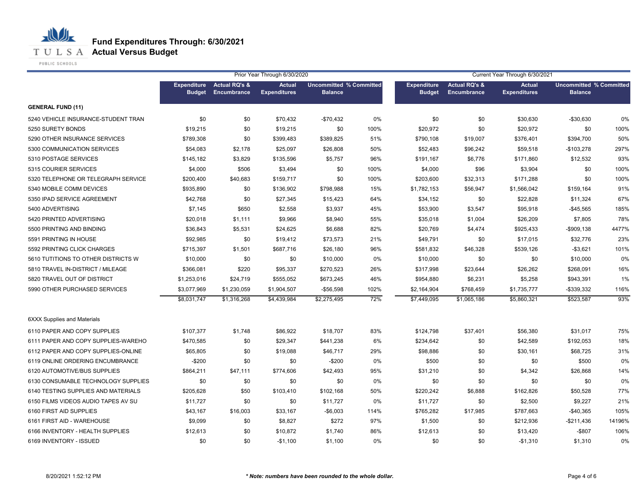

**T U L S A Actual Versus Budget** 

PUBLIC SCHOOLS

|                                     | Prior Year Through 6/30/2020<br>Current Year Through 6/30/2021 |                                                 |                                      |                                                  |      |                                     |                                                |                                      |                                                  |        |
|-------------------------------------|----------------------------------------------------------------|-------------------------------------------------|--------------------------------------|--------------------------------------------------|------|-------------------------------------|------------------------------------------------|--------------------------------------|--------------------------------------------------|--------|
|                                     | <b>Budget</b>                                                  | <b>Expenditure</b> Actual RQ's &<br>Encumbrance | <b>Actual</b><br><b>Expenditures</b> | <b>Uncommitted % Committed</b><br><b>Balance</b> |      | <b>Expenditure</b><br><b>Budget</b> | <b>Actual RQ's &amp;</b><br><b>Encumbrance</b> | <b>Actual</b><br><b>Expenditures</b> | <b>Uncommitted % Committed</b><br><b>Balance</b> |        |
| <b>GENERAL FUND (11)</b>            |                                                                |                                                 |                                      |                                                  |      |                                     |                                                |                                      |                                                  |        |
| 5240 VEHICLE INSURANCE-STUDENT TRAN | \$0                                                            | \$0                                             | \$70,432                             | $-$70,432$                                       | 0%   | \$0                                 | \$0                                            | \$30,630                             | -\$30,630                                        | 0%     |
| 5250 SURETY BONDS                   | \$19,215                                                       | \$0                                             | \$19,215                             | \$0                                              | 100% | \$20,972                            | \$0                                            | \$20,972                             | \$0                                              | 100%   |
| 5290 OTHER INSURANCE SERVICES       | \$789,308                                                      | \$0                                             | \$399,483                            | \$389,825                                        | 51%  | \$790,108                           | \$19,007                                       | \$376,401                            | \$394,700                                        | 50%    |
| 5300 COMMUNICATION SERVICES         | \$54,083                                                       | \$2,178                                         | \$25,097                             | \$26,808                                         | 50%  | \$52,483                            | \$96,242                                       | \$59,518                             | $-$103,278$                                      | 297%   |
| 5310 POSTAGE SERVICES               | \$145,182                                                      | \$3,829                                         | \$135,596                            | \$5,757                                          | 96%  | \$191,167                           | \$6,776                                        | \$171,860                            | \$12,532                                         | 93%    |
| 5315 COURIER SERVICES               | \$4,000                                                        | \$506                                           | \$3,494                              | \$0                                              | 100% | \$4,000                             | \$96                                           | \$3,904                              | \$0                                              | 100%   |
| 5320 TELEPHONE OR TELEGRAPH SERVICE | \$200,400                                                      | \$40,683                                        | \$159,717                            | \$0                                              | 100% | \$203,600                           | \$32,313                                       | \$171,288                            | \$0                                              | 100%   |
| 5340 MOBILE COMM DEVICES            | \$935,890                                                      | \$0                                             | \$136,902                            | \$798,988                                        | 15%  | \$1,782,153                         | \$56,947                                       | \$1,566,042                          | \$159,164                                        | 91%    |
| 5350 IPAD SERVICE AGREEMENT         | \$42,768                                                       | \$0                                             | \$27,345                             | \$15,423                                         | 64%  | \$34,152                            | \$0                                            | \$22,828                             | \$11,324                                         | 67%    |
| 5400 ADVERTISING                    | \$7,145                                                        | \$650                                           | \$2,558                              | \$3,937                                          | 45%  | \$53,900                            | \$3,547                                        | \$95,918                             | -\$45,565                                        | 185%   |
| 5420 PRINTED ADVERTISING            | \$20,018                                                       | \$1,111                                         | \$9,966                              | \$8,940                                          | 55%  | \$35,018                            | \$1,004                                        | \$26,209                             | \$7,805                                          | 78%    |
| 5500 PRINTING AND BINDING           | \$36,843                                                       | \$5,531                                         | \$24,625                             | \$6,688                                          | 82%  | \$20,769                            | \$4,474                                        | \$925,433                            | $-$909,138$                                      | 4477%  |
| 5591 PRINTING IN HOUSE              | \$92,985                                                       | \$0                                             | \$19,412                             | \$73,573                                         | 21%  | \$49,791                            | \$0                                            | \$17,015                             | \$32,776                                         | 23%    |
| 5592 PRINTING CLICK CHARGES         | \$715,397                                                      | \$1,501                                         | \$687,716                            | \$26,180                                         | 96%  | \$581,832                           | \$46,328                                       | \$539,126                            | $-$3,621$                                        | 101%   |
| 5610 TUTITIONS TO OTHER DISTRICTS W | \$10,000                                                       | \$0                                             | \$0                                  | \$10,000                                         | 0%   | \$10,000                            | \$0                                            | \$0                                  | \$10,000                                         | 0%     |
| 5810 TRAVEL IN-DISTRICT / MILEAGE   | \$366,081                                                      | \$220                                           | \$95,337                             | \$270,523                                        | 26%  | \$317,998                           | \$23,644                                       | \$26,262                             | \$268,091                                        | 16%    |
| 5820 TRAVEL OUT OF DISTRICT         | \$1,253,016                                                    | \$24,719                                        | \$555,052                            | \$673,245                                        | 46%  | \$954,880                           | \$6,231                                        | \$5,258                              | \$943,391                                        | 1%     |
| 5990 OTHER PURCHASED SERVICES       | \$3,077,969                                                    | \$1,230,059                                     | \$1,904,507                          | $-$56,598$                                       | 102% | \$2,164,904                         | \$768,459                                      | \$1,735,777                          | $-$ \$339,332                                    | 116%   |
|                                     | \$8,031,747                                                    | \$1,316,268                                     | \$4,439,984                          | \$2,275,495                                      | 72%  | \$7,449,095                         | \$1,065,186                                    | \$5,860,321                          | \$523,587                                        | 93%    |
| <b>6XXX Supplies and Materials</b>  |                                                                |                                                 |                                      |                                                  |      |                                     |                                                |                                      |                                                  |        |
| 6110 PAPER AND COPY SUPPLIES        | \$107,377                                                      | \$1,748                                         | \$86,922                             | \$18,707                                         | 83%  | \$124,798                           | \$37,401                                       | \$56,380                             | \$31,017                                         | 75%    |
| 6111 PAPER AND COPY SUPPLIES-WAREHO | \$470,585                                                      | \$0                                             | \$29,347                             | \$441,238                                        | 6%   | \$234,642                           | \$0                                            | \$42,589                             | \$192,053                                        | 18%    |
| 6112 PAPER AND COPY SUPPLIES-ONLINE | \$65,805                                                       | \$0                                             | \$19,088                             | \$46,717                                         | 29%  | \$98,886                            | \$0                                            | \$30,161                             | \$68,725                                         | 31%    |
| 6119 ONLINE ORDERING ENCUMBRANCE    | $-$200$                                                        | \$0                                             | \$0                                  | $-$200$                                          | 0%   | \$500                               | \$0                                            | \$0                                  | \$500                                            | 0%     |
| 6120 AUTOMOTIVE/BUS SUPPLIES        | \$864,211                                                      | \$47,111                                        | \$774,606                            | \$42,493                                         | 95%  | \$31,210                            | \$0                                            | \$4,342                              | \$26,868                                         | 14%    |
| 6130 CONSUMABLE TECHNOLOGY SUPPLIES | \$0                                                            | \$0                                             | \$0                                  | \$0                                              | 0%   | \$0                                 | \$0                                            | \$0                                  | \$0                                              | 0%     |
| 6140 TESTING SUPPLIES AND MATERIALS | \$205,628                                                      | \$50                                            | \$103,410                            | \$102,168                                        | 50%  | \$220,242                           | \$6,888                                        | \$162,826                            | \$50,528                                         | 77%    |
| 6150 FILMS VIDEOS AUDIO TAPES AV SU | \$11,727                                                       | \$0                                             | \$0                                  | \$11,727                                         | 0%   | \$11,727                            | \$0                                            | \$2,500                              | \$9,227                                          | 21%    |
| 6160 FIRST AID SUPPLIES             | \$43,167                                                       | \$16,003                                        | \$33,167                             | $-$6,003$                                        | 114% | \$765,282                           | \$17,985                                       | \$787,663                            | $-$40,365$                                       | 105%   |
| 6161 FIRST AID - WAREHOUSE          | \$9,099                                                        | \$0                                             | \$8,827                              | \$272                                            | 97%  | \$1,500                             | \$0                                            | \$212,936                            | $-$211,436$                                      | 14196% |
| 6166 INVENTORY - HEALTH SUPPLIES    | \$12,613                                                       | \$0                                             | \$10,872                             | \$1,740                                          | 86%  | \$12,613                            | \$0                                            | \$13,420                             | $-$ \$807                                        | 106%   |
| 6169 INVENTORY - ISSUED             | \$0                                                            | \$0                                             | $-$1,100$                            | \$1,100                                          | 0%   | \$0                                 | \$0                                            | $-$1,310$                            | \$1,310                                          | 0%     |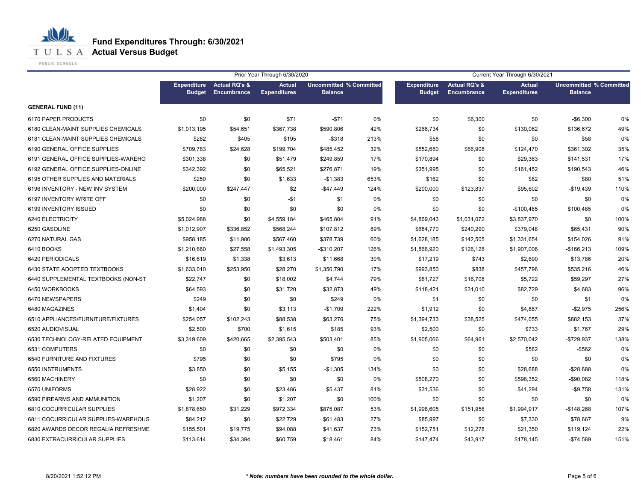

**T U L S A Actual Versus Budget** 

PUBLIC SCHOOLS

|                                     | Prior Year Through 6/30/2020 |                                                 |                                      |                                                  |      | Current Year Through 6/30/2021      |                                                |                                      |                                                  |      |  |
|-------------------------------------|------------------------------|-------------------------------------------------|--------------------------------------|--------------------------------------------------|------|-------------------------------------|------------------------------------------------|--------------------------------------|--------------------------------------------------|------|--|
|                                     | <b>Budget</b>                | <b>Expenditure</b> Actual RQ's &<br>Encumbrance | <b>Actual</b><br><b>Expenditures</b> | <b>Uncommitted % Committed</b><br><b>Balance</b> |      | <b>Expenditure</b><br><b>Budget</b> | <b>Actual RQ's &amp;</b><br><b>Encumbrance</b> | <b>Actual</b><br><b>Expenditures</b> | <b>Uncommitted % Committed</b><br><b>Balance</b> |      |  |
| <b>GENERAL FUND (11)</b>            |                              |                                                 |                                      |                                                  |      |                                     |                                                |                                      |                                                  |      |  |
| 6170 PAPER PRODUCTS                 | \$0                          | \$0                                             | \$71                                 | $-$71$                                           | 0%   | \$0                                 | \$6,300                                        | \$0                                  | $-$6,300$                                        | 0%   |  |
| 6180 CLEAN-MAINT SUPPLIES CHEMICALS | \$1,013,195                  | \$54,651                                        | \$367,738                            | \$590,806                                        | 42%  | \$266,734                           | \$0                                            | \$130,062                            | \$136,672                                        | 49%  |  |
| 6181 CLEAN-MAINT SUPPLIES CHEMICALS | \$282                        | \$405                                           | \$195                                | $-$318$                                          | 213% | \$58                                | \$0                                            | \$0                                  | \$58                                             | 0%   |  |
| 6190 GENERAL OFFICE SUPPLIES        | \$709,783                    | \$24,628                                        | \$199,704                            | \$485,452                                        | 32%  | \$552,680                           | \$66,908                                       | \$124,470                            | \$361,302                                        | 35%  |  |
| 6191 GENERAL OFFICE SUPPLIES-WAREHO | \$301,338                    | \$0                                             | \$51,479                             | \$249,859                                        | 17%  | \$170,894                           | \$0                                            | \$29,363                             | \$141,531                                        | 17%  |  |
| 6192 GENERAL OFFICE SUPPLIES-ONLINE | \$342,392                    | \$0                                             | \$65,521                             | \$276,871                                        | 19%  | \$351,995                           | \$0                                            | \$161,452                            | \$190,543                                        | 46%  |  |
| 6195 OTHER SUPPLIES AND MATERIALS   | \$250                        | \$0                                             | \$1,633                              | $-$1,383$                                        | 653% | \$162                               | \$0                                            | \$82                                 | \$80                                             | 51%  |  |
| 6196 INVENTORY - NEW INV SYSTEM     | \$200,000                    | \$247,447                                       | \$2                                  | $-$47,449$                                       | 124% | \$200,000                           | \$123,837                                      | \$95,602                             | $-$19,439$                                       | 110% |  |
| 6197 INVENTORY WRITE OFF            | \$0                          | \$0                                             | $-$1$                                | \$1                                              | 0%   | \$0                                 | \$0                                            | \$0                                  | \$0                                              | 0%   |  |
| 6199 INVENTORY ISSUED               | \$0                          | \$0                                             | \$0                                  | \$0                                              | 0%   | \$0                                 | \$0                                            | $-$100,485$                          | \$100,485                                        | 0%   |  |
| 6240 ELECTRICITY                    | \$5,024,988                  | \$0                                             | \$4,559,184                          | \$465,804                                        | 91%  | \$4,869,043                         | \$1,031,072                                    | \$3,837,970                          | \$0                                              | 100% |  |
| 6250 GASOLINE                       | \$1,012,907                  | \$336,852                                       | \$568,244                            | \$107,812                                        | 89%  | \$684,770                           | \$240,290                                      | \$379,048                            | \$65,431                                         | 90%  |  |
| 6270 NATURAL GAS                    | \$958,185                    | \$11,986                                        | \$567,460                            | \$378,739                                        | 60%  | \$1,628,185                         | \$142,505                                      | \$1,331,654                          | \$154,026                                        | 91%  |  |
| 6410 BOOKS                          | \$1,210,660                  | \$27,558                                        | \$1,493,305                          | $-$310,207$                                      | 126% | \$1,866,920                         | \$126,128                                      | \$1,907,006                          | $-$166,213$                                      | 109% |  |
| 6420 PERIODICALS                    | \$16,619                     | \$1,338                                         | \$3,613                              | \$11,668                                         | 30%  | \$17,219                            | \$743                                          | \$2,690                              | \$13,786                                         | 20%  |  |
| 6430 STATE ADOPTED TEXTBOOKS        | \$1,633,010                  | \$253,950                                       | \$28,270                             | \$1,350,790                                      | 17%  | \$993,850                           | \$838                                          | \$457,796                            | \$535,216                                        | 46%  |  |
| 6440 SUPPLEMENTAL TEXTBOOKS (NON-ST | \$22,747                     | \$0                                             | \$18,002                             | \$4,744                                          | 79%  | \$81,727                            | \$16,708                                       | \$5,722                              | \$59,297                                         | 27%  |  |
| 6450 WORKBOOKS                      | \$64,593                     | \$0                                             | \$31,720                             | \$32,873                                         | 49%  | \$118,421                           | \$31,010                                       | \$82,729                             | \$4,683                                          | 96%  |  |
| 6470 NEWSPAPERS                     | \$249                        | \$0                                             | \$0                                  | \$249                                            | 0%   | \$1                                 | \$0                                            | \$0                                  | \$1                                              | 0%   |  |
| 6480 MAGAZINES                      | \$1,404                      | \$0                                             | \$3,113                              | $-$1,709$                                        | 222% | \$1,912                             | \$0                                            | \$4,887                              | $-$2,975$                                        | 256% |  |
| 6510 APPLIANCES/FURNITURE/FIXTURES  | \$254,057                    | \$102,243                                       | \$88,538                             | \$63,276                                         | 75%  | \$1,394,733                         | \$38,525                                       | \$474,055                            | \$882,153                                        | 37%  |  |
| 6520 AUDIOVISUAL                    | \$2,500                      | \$700                                           | \$1,615                              | \$185                                            | 93%  | \$2,500                             | \$0                                            | \$733                                | \$1,767                                          | 29%  |  |
| 6530 TECHNOLOGY-RELATED EQUIPMENT   | \$3,319,609                  | \$420,665                                       | \$2,395,543                          | \$503,401                                        | 85%  | \$1,905,066                         | \$64,961                                       | \$2,570,042                          | $-$729,937$                                      | 138% |  |
| 6531 COMPUTERS                      | \$0                          | \$0                                             | \$0                                  | \$0                                              | 0%   | \$0                                 | \$0                                            | \$562                                | -\$562                                           | 0%   |  |
| 6540 FURNITURE AND FIXTURES         | \$795                        | \$0                                             | \$0                                  | \$795                                            | 0%   | \$0                                 | \$0                                            | \$0                                  | \$0                                              | 0%   |  |
| 6550 INSTRUMENTS                    | \$3,850                      | \$0                                             | \$5,155                              | $-$1,305$                                        | 134% | \$0                                 | \$0                                            | \$28,688                             | $-$28,688$                                       | 0%   |  |
| 6560 MACHINERY                      | \$0                          | \$0                                             | \$0                                  | \$0                                              | 0%   | \$508,270                           | \$0                                            | \$598,352                            | -\$90,082                                        | 118% |  |
| 6570 UNIFORMS                       | \$28,922                     | \$0                                             | \$23,486                             | \$5,437                                          | 81%  | \$31,536                            | \$0                                            | \$41,294                             | $-$9,758$                                        | 131% |  |
| 6590 FIREARMS AND AMMUNITION        | \$1,207                      | \$0                                             | \$1,207                              | \$0                                              | 100% | \$0                                 | \$0                                            | \$0                                  | \$0                                              | 0%   |  |
| 6810 COCURRICULAR SUPPLIES          | \$1,878,650                  | \$31,229                                        | \$972,334                            | \$875,087                                        | 53%  | \$1,998,605                         | \$151,956                                      | \$1,994,917                          | $-$148,268$                                      | 107% |  |
| 6811 COCURRICULAR SUPPLIES-WAREHOUS | \$84,212                     | \$0                                             | \$22,729                             | \$61,483                                         | 27%  | \$85,997                            | \$0                                            | \$7,330                              | \$78,667                                         | 9%   |  |
| 6820 AWARDS DECOR REGALIA REFRESHME | \$155,501                    | \$19,775                                        | \$94,088                             | \$41,637                                         | 73%  | \$152,751                           | \$12,278                                       | \$21,350                             | \$119,124                                        | 22%  |  |
| 6830 EXTRACURRICULAR SUPPLIES       | \$113,614                    | \$34,394                                        | \$60,759                             | \$18,461                                         | 84%  | \$147,474                           | \$43,917                                       | \$178,145                            | $-$74,589$                                       | 151% |  |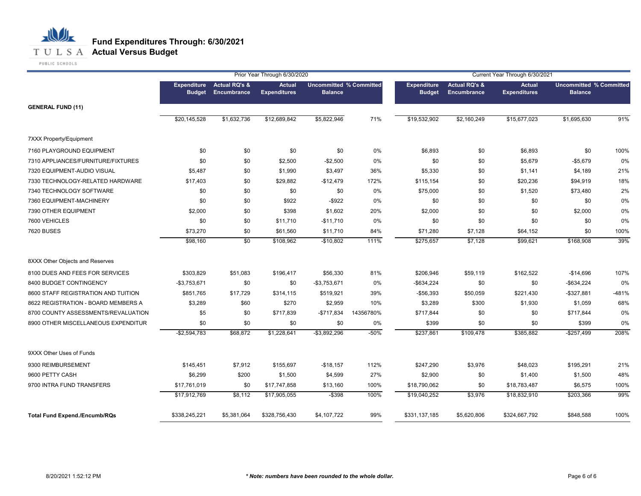

|                                      |                                     |                                         | Prior Year Through 6/30/2020         |                                                  |           |                                     |                                         | Current Year Through 6/30/2021       |                                                  |         |
|--------------------------------------|-------------------------------------|-----------------------------------------|--------------------------------------|--------------------------------------------------|-----------|-------------------------------------|-----------------------------------------|--------------------------------------|--------------------------------------------------|---------|
|                                      | <b>Expenditure</b><br><b>Budget</b> | <b>Actual RQ's &amp;</b><br>Encumbrance | <b>Actual</b><br><b>Expenditures</b> | <b>Uncommitted % Committed</b><br><b>Balance</b> |           | <b>Expenditure</b><br><b>Budget</b> | <b>Actual RQ's &amp;</b><br>Encumbrance | <b>Actual</b><br><b>Expenditures</b> | <b>Uncommitted % Committed</b><br><b>Balance</b> |         |
| <b>GENERAL FUND (11)</b>             |                                     |                                         |                                      |                                                  |           |                                     |                                         |                                      |                                                  |         |
|                                      | \$20,145,528                        | \$1,632,736                             | \$12,689,842                         | \$5,822,946                                      | 71%       | \$19,532,902                        | \$2,160,249                             | \$15,677,023                         | \$1,695,630                                      | 91%     |
| <b>7XXX Property/Equipment</b>       |                                     |                                         |                                      |                                                  |           |                                     |                                         |                                      |                                                  |         |
| 7160 PLAYGROUND EQUIPMENT            | \$0                                 | \$0                                     | \$0                                  | \$0                                              | 0%        | \$6,893                             | \$0                                     | \$6,893                              | \$0                                              | 100%    |
| 7310 APPLIANCES/FURNITURE/FIXTURES   | \$0                                 | \$0                                     | \$2,500                              | $-$2,500$                                        | 0%        | \$0                                 | \$0                                     | \$5,679                              | $-$5,679$                                        | 0%      |
| 7320 EQUIPMENT-AUDIO VISUAL          | \$5,487                             | \$0                                     | \$1,990                              | \$3,497                                          | 36%       | \$5,330                             | \$0                                     | \$1,141                              | \$4,189                                          | 21%     |
| 7330 TECHNOLOGY-RELATED HARDWARE     | \$17,403                            | \$0                                     | \$29,882                             | $-$12,479$                                       | 172%      | \$115,154                           | \$0                                     | \$20,236                             | \$94,919                                         | 18%     |
| 7340 TECHNOLOGY SOFTWARE             | \$0                                 | \$0                                     | \$0                                  | \$0                                              | 0%        | \$75,000                            | \$0                                     | \$1,520                              | \$73,480                                         | 2%      |
| 7360 EQUIPMENT-MACHINERY             | \$0                                 | \$0                                     | \$922                                | $-$ \$922                                        | 0%        | \$0                                 | \$0                                     | \$0                                  | \$0                                              | 0%      |
| 7390 OTHER EQUIPMENT                 | \$2,000                             | \$0                                     | \$398                                | \$1,602                                          | 20%       | \$2,000                             | \$0                                     | \$0                                  | \$2,000                                          | 0%      |
| 7600 VEHICLES                        | \$0                                 | \$0                                     | \$11,710                             | $-$11,710$                                       | 0%        | \$0                                 | \$0                                     | \$0                                  | \$0                                              | 0%      |
| <b>7620 BUSES</b>                    | \$73,270                            | \$0                                     | \$61,560                             | \$11,710                                         | 84%       | \$71,280                            | \$7,128                                 | \$64,152                             | \$0                                              | 100%    |
|                                      | \$98,160                            | $\sqrt{6}$                              | \$108,962                            | $-$10,802$                                       | 111%      | \$275,657                           | \$7,128                                 | \$99,621                             | \$168,908                                        | 39%     |
| 8XXX Other Objects and Reserves      |                                     |                                         |                                      |                                                  |           |                                     |                                         |                                      |                                                  |         |
| 8100 DUES AND FEES FOR SERVICES      | \$303,829                           | \$51,083                                | \$196,417                            | \$56,330                                         | 81%       | \$206,946                           | \$59,119                                | \$162,522                            | $-$14,696$                                       | 107%    |
| 8400 BUDGET CONTINGENCY              | $-$3,753,671$                       | \$0                                     | \$0                                  | $-$3,753,671$                                    | 0%        | $-$ \$634,224                       | \$0                                     | \$0                                  | $-$ \$634,224                                    | 0%      |
| 8600 STAFF REGISTRATION AND TUITION  | \$851,765                           | \$17,729                                | \$314,115                            | \$519,921                                        | 39%       | $-$56,393$                          | \$50,059                                | \$221,430                            | $- $327,881$                                     | $-481%$ |
| 8622 REGISTRATION - BOARD MEMBERS A  | \$3,289                             | \$60                                    | \$270                                | \$2,959                                          | 10%       | \$3,289                             | \$300                                   | \$1,930                              | \$1,059                                          | 68%     |
| 8700 COUNTY ASSESSMENTS/REVALUATION  | \$5                                 | \$0                                     | \$717,839                            | $-$717,834$                                      | 14356780% | \$717,844                           | \$0                                     | \$0                                  | \$717,844                                        | 0%      |
| 8900 OTHER MISCELLANEOUS EXPENDITUR  | \$0                                 | \$0                                     | \$0                                  | \$0                                              | 0%        | \$399                               | \$0                                     | \$0                                  | \$399                                            | 0%      |
|                                      | $-$2,594,783$                       | \$68,872                                | \$1,228,641                          | $-$ \$3,892,296                                  | $-50%$    | \$237,861                           | \$109,478                               | \$385,882                            | $-$257,499$                                      | 208%    |
| 9XXX Other Uses of Funds             |                                     |                                         |                                      |                                                  |           |                                     |                                         |                                      |                                                  |         |
| 9300 REIMBURSEMENT                   | \$145,451                           | \$7,912                                 | \$155,697                            | $-$18,157$                                       | 112%      | \$247,290                           | \$3,976                                 | \$48,023                             | \$195,291                                        | 21%     |
| 9600 PETTY CASH                      | \$6,299                             | \$200                                   | \$1,500                              | \$4,599                                          | 27%       | \$2,900                             | \$0                                     | \$1,400                              | \$1,500                                          | 48%     |
| 9700 INTRA FUND TRANSFERS            | \$17,761,019                        | \$0                                     | \$17,747,858                         | \$13,160                                         | 100%      | \$18,790,062                        | \$0                                     | \$18,783,487                         | \$6,575                                          | 100%    |
|                                      | \$17,912,769                        | \$8,112                                 | \$17,905,055                         | $-$ \$398                                        | 100%      | \$19,040,252                        | \$3,976                                 | \$18,832,910                         | \$203,366                                        | 99%     |
| <b>Total Fund Expend./Encumb/RQs</b> | \$338,245,221                       | \$5,381,064                             | \$328,756,430                        | \$4,107,722                                      | 99%       | \$331,137,185                       | \$5,620,806                             | \$324,667,792                        | \$848,588                                        | 100%    |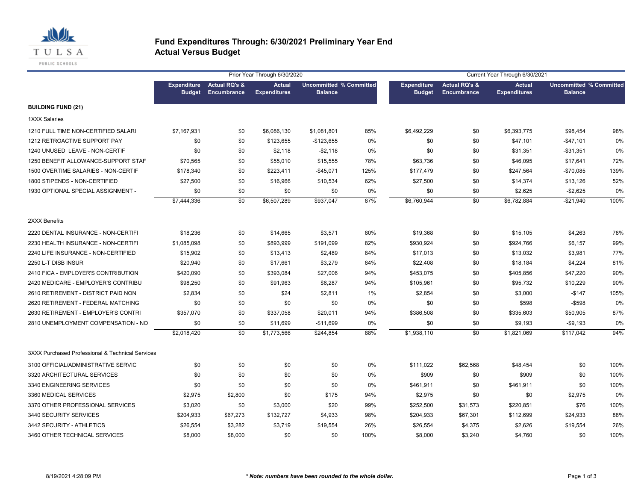

#### **Fund Expenditures Through: 6/30/2021 Preliminary Year End Actual Versus Budget**

|                                                  |                                     |                                         | Prior Year Through 6/30/2020         |                                                  |      | Current Year Through 6/30/2021      |                                                |                                      |                                                  |      |  |
|--------------------------------------------------|-------------------------------------|-----------------------------------------|--------------------------------------|--------------------------------------------------|------|-------------------------------------|------------------------------------------------|--------------------------------------|--------------------------------------------------|------|--|
|                                                  | <b>Expenditure</b><br><b>Budget</b> | <b>Actual RQ's &amp;</b><br>Encumbrance | <b>Actual</b><br><b>Expenditures</b> | <b>Uncommitted % Committed</b><br><b>Balance</b> |      | <b>Expenditure</b><br><b>Budget</b> | <b>Actual RQ's &amp;</b><br><b>Encumbrance</b> | <b>Actual</b><br><b>Expenditures</b> | <b>Uncommitted % Committed</b><br><b>Balance</b> |      |  |
| <b>BUILDING FUND (21)</b>                        |                                     |                                         |                                      |                                                  |      |                                     |                                                |                                      |                                                  |      |  |
| 1XXX Salaries                                    |                                     |                                         |                                      |                                                  |      |                                     |                                                |                                      |                                                  |      |  |
| 1210 FULL TIME NON-CERTIFIED SALARI              | \$7,167,931                         | \$0                                     | \$6,086,130                          | \$1,081,801                                      | 85%  | \$6,492,229                         | \$0                                            | \$6,393,775                          | \$98,454                                         | 98%  |  |
| 1212 RETROACTIVE SUPPORT PAY                     | \$0                                 | \$0                                     | \$123,655                            | $-$123,655$                                      | 0%   | \$0                                 | \$0                                            | \$47,101                             | $-$ \$47,101                                     | 0%   |  |
| 1240 UNUSED LEAVE - NON-CERTIF                   | \$0                                 | \$0                                     | \$2,118                              | $- $2,118$                                       | 0%   | \$0                                 | \$0                                            | \$31,351                             | -\$31,351                                        | 0%   |  |
| 1250 BENEFIT ALLOWANCE-SUPPORT STAF              | \$70,565                            | \$0                                     | \$55,010                             | \$15,555                                         | 78%  | \$63,736                            | \$0                                            | \$46,095                             | \$17,641                                         | 72%  |  |
| 1500 OVERTIME SALARIES - NON-CERTIF              | \$178,340                           | \$0                                     | \$223,411                            | $-$45,071$                                       | 125% | \$177,479                           | \$0                                            | \$247,564                            | $-$70,085$                                       | 139% |  |
| 1800 STIPENDS - NON-CERTIFIED                    | \$27,500                            | \$0                                     | \$16,966                             | \$10,534                                         | 62%  | \$27,500                            | \$0                                            | \$14,374                             | \$13,126                                         | 52%  |  |
| 1930 OPTIONAL SPECIAL ASSIGNMENT -               | \$0                                 | \$0                                     | \$0                                  | \$0                                              | 0%   | \$0                                 | \$0                                            | \$2,625                              | $-$2,625$                                        | 0%   |  |
|                                                  | \$7,444,336                         | $\overline{50}$                         | \$6,507,289                          | \$937,047                                        | 87%  | \$6,760,944                         | $\overline{50}$                                | \$6,782,884                          | $-$21,940$                                       | 100% |  |
| 2XXX Benefits                                    |                                     |                                         |                                      |                                                  |      |                                     |                                                |                                      |                                                  |      |  |
| 2220 DENTAL INSURANCE - NON-CERTIFI              | \$18,236                            | \$0                                     | \$14,665                             | \$3,571                                          | 80%  | \$19,368                            | \$0                                            | \$15,105                             | \$4,263                                          | 78%  |  |
| 2230 HEALTH INSURANCE - NON-CERTIFI              | \$1,085,098                         | \$0                                     | \$893,999                            | \$191,099                                        | 82%  | \$930,924                           | \$0                                            | \$924,766                            | \$6,157                                          | 99%  |  |
| 2240 LIFE INSURANCE - NON-CERTIFIED              | \$15,902                            | \$0                                     | \$13,413                             | \$2,489                                          | 84%  | \$17,013                            | \$0                                            | \$13,032                             | \$3,981                                          | 77%  |  |
| 2250 L-T DISB INSUR                              | \$20,940                            | \$0                                     | \$17,661                             | \$3,279                                          | 84%  | \$22,408                            | \$0                                            | \$18,184                             | \$4,224                                          | 81%  |  |
| 2410 FICA - EMPLOYER'S CONTRIBUTION              | \$420,090                           | \$0                                     | \$393,084                            | \$27,006                                         | 94%  | \$453,075                           | \$0                                            | \$405,856                            | \$47,220                                         | 90%  |  |
| 2420 MEDICARE - EMPLOYER'S CONTRIBU              | \$98,250                            | \$0                                     | \$91,963                             | \$6,287                                          | 94%  | \$105,961                           | \$0                                            | \$95,732                             | \$10,229                                         | 90%  |  |
| 2610 RETIREMENT - DISTRICT PAID NON              | \$2,834                             | \$0                                     | \$24                                 | \$2,811                                          | 1%   | \$2,854                             | \$0                                            | \$3,000                              | $-$147$                                          | 105% |  |
| 2620 RETIREMENT - FEDERAL MATCHING               | \$0                                 | \$0                                     | \$0                                  | \$0                                              | 0%   | \$0                                 | \$0                                            | \$598                                | $-$ \$598                                        | 0%   |  |
| 2630 RETIREMENT - EMPLOYER'S CONTRI              | \$357,070                           | \$0                                     | \$337,058                            | \$20,011                                         | 94%  | \$386,508                           | \$0                                            | \$335,603                            | \$50,905                                         | 87%  |  |
| 2810 UNEMPLOYMENT COMPENSATION - NO              | \$0                                 | \$0                                     | \$11,699                             | $-$11,699$                                       | 0%   | \$0                                 | \$0                                            | \$9,193                              | $-$9,193$                                        | 0%   |  |
|                                                  | \$2,018,420                         | $\overline{50}$                         | \$1,773,566                          | \$244,854                                        | 88%  | \$1,938,110                         | $\overline{50}$                                | \$1,821,069                          | \$117,042                                        | 94%  |  |
| 3XXX Purchased Professional & Technical Services |                                     |                                         |                                      |                                                  |      |                                     |                                                |                                      |                                                  |      |  |
| 3100 OFFICIAL/ADMINISTRATIVE SERVIC              | \$0                                 | \$0                                     | \$0                                  | \$0                                              | 0%   | \$111,022                           | \$62,568                                       | \$48,454                             | \$0                                              | 100% |  |
| 3320 ARCHITECTURAL SERVICES                      | \$0                                 | \$0                                     | \$0                                  | \$0                                              | 0%   | \$909                               | \$0                                            | \$909                                | \$0                                              | 100% |  |
| 3340 ENGINEERING SERVICES                        | \$0                                 | \$0                                     | \$0                                  | \$0                                              | 0%   | \$461,911                           | \$0                                            | \$461,911                            | \$0                                              | 100% |  |
| 3360 MEDICAL SERVICES                            | \$2,975                             | \$2,800                                 | \$0                                  | \$175                                            | 94%  | \$2,975                             | \$0                                            | \$0                                  | \$2,975                                          | 0%   |  |
| 3370 OTHER PROFESSIONAL SERVICES                 | \$3,020                             | \$0                                     | \$3,000                              | \$20                                             | 99%  | \$252,500                           | \$31,573                                       | \$220,851                            | \$76                                             | 100% |  |
| 3440 SECURITY SERVICES                           | \$204,933                           | \$67,273                                | \$132,727                            | \$4,933                                          | 98%  | \$204,933                           | \$67,301                                       | \$112,699                            | \$24,933                                         | 88%  |  |
| 3442 SECURITY - ATHLETICS                        | \$26,554                            | \$3,282                                 | \$3,719                              | \$19,554                                         | 26%  | \$26,554                            | \$4,375                                        | \$2,626                              | \$19,554                                         | 26%  |  |
| 3460 OTHER TECHNICAL SERVICES                    | \$8.000                             | \$8,000                                 | \$0                                  | \$0                                              | 100% | \$8,000                             | \$3.240                                        | \$4.760                              | \$0                                              | 100% |  |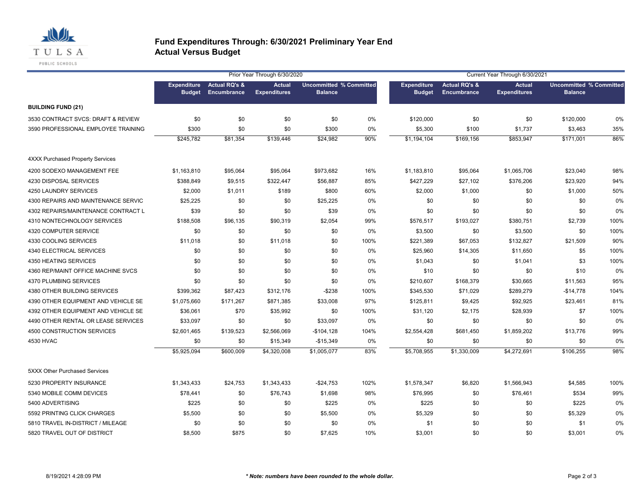

#### **Fund Expenditures Through: 6/30/2021 Preliminary Year End Actual Versus Budget**

|                                         |                                     |                                                | Prior Year Through 6/30/2020         |                                                  |       |                                     |                                                | Current Year Through 6/30/2021       |                                                  |       |
|-----------------------------------------|-------------------------------------|------------------------------------------------|--------------------------------------|--------------------------------------------------|-------|-------------------------------------|------------------------------------------------|--------------------------------------|--------------------------------------------------|-------|
|                                         | <b>Expenditure</b><br><b>Budget</b> | <b>Actual RQ's &amp;</b><br><b>Encumbrance</b> | <b>Actual</b><br><b>Expenditures</b> | <b>Uncommitted % Committed</b><br><b>Balance</b> |       | <b>Expenditure</b><br><b>Budget</b> | <b>Actual RQ's &amp;</b><br><b>Encumbrance</b> | <b>Actual</b><br><b>Expenditures</b> | <b>Uncommitted % Committed</b><br><b>Balance</b> |       |
| <b>BUILDING FUND (21)</b>               |                                     |                                                |                                      |                                                  |       |                                     |                                                |                                      |                                                  |       |
| 3530 CONTRACT SVCS: DRAFT & REVIEW      | \$0                                 | \$0                                            | \$0                                  | \$0                                              | 0%    | \$120,000                           | \$0                                            | \$0                                  | \$120,000                                        | 0%    |
| 3590 PROFESSIONAL EMPLOYEE TRAINING     | \$300                               | \$0                                            | \$0                                  | \$300                                            | 0%    | \$5,300                             | \$100                                          | \$1,737                              | \$3,463                                          | 35%   |
|                                         | \$245,782                           | \$81,354                                       | \$139,446                            | \$24,982                                         | 90%   | \$1,194,104                         | \$169,156                                      | \$853,947                            | \$171,001                                        | 86%   |
| <b>4XXX Purchased Property Services</b> |                                     |                                                |                                      |                                                  |       |                                     |                                                |                                      |                                                  |       |
| 4200 SODEXO MANAGEMENT FEE              | \$1,163,810                         | \$95,064                                       | \$95,064                             | \$973,682                                        | 16%   | \$1,183,810                         | \$95,064                                       | \$1,065,706                          | \$23,040                                         | 98%   |
| 4230 DISPOSAL SERVICES                  | \$388,849                           | \$9,515                                        | \$322,447                            | \$56,887                                         | 85%   | \$427,229                           | \$27,102                                       | \$376,206                            | \$23,920                                         | 94%   |
| 4250 LAUNDRY SERVICES                   | \$2,000                             | \$1,011                                        | \$189                                | \$800                                            | 60%   | \$2,000                             | \$1,000                                        | \$0                                  | \$1,000                                          | 50%   |
| 4300 REPAIRS AND MAINTENANCE SERVIC     | \$25,225                            | \$0                                            | \$0                                  | \$25,225                                         | $0\%$ | \$0                                 | \$0                                            | \$0                                  | \$0                                              | $0\%$ |
| 4302 REPAIRS/MAINTENANCE CONTRACT L     | \$39                                | \$0                                            | \$0                                  | \$39                                             | 0%    | \$0                                 | \$0                                            | \$0                                  | \$0                                              | 0%    |
| 4310 NONTECHNOLOGY SERVICES             | \$188,508                           | \$96,135                                       | \$90,319                             | \$2,054                                          | 99%   | \$576,517                           | \$193,027                                      | \$380,751                            | \$2,739                                          | 100%  |
| 4320 COMPUTER SERVICE                   | \$0                                 | \$0                                            | \$0                                  | \$0                                              | 0%    | \$3,500                             | \$0                                            | \$3,500                              | \$0                                              | 100%  |
| 4330 COOLING SERVICES                   | \$11,018                            | \$0                                            | \$11,018                             | \$0                                              | 100%  | \$221,389                           | \$67,053                                       | \$132,827                            | \$21,509                                         | 90%   |
| 4340 ELECTRICAL SERVICES                | \$0                                 | \$0                                            | \$0                                  | \$0                                              | $0\%$ | \$25,960                            | \$14,305                                       | \$11,650                             | \$5                                              | 100%  |
| 4350 HEATING SERVICES                   | \$0                                 | \$0                                            | \$0                                  | \$0                                              | 0%    | \$1,043                             | \$0                                            | \$1,041                              | \$3                                              | 100%  |
| 4360 REP/MAINT OFFICE MACHINE SVCS      | \$0                                 | \$0                                            | \$0                                  | \$0                                              | $0\%$ | \$10                                | \$0                                            | \$0                                  | \$10                                             | 0%    |
| 4370 PLUMBING SERVICES                  | \$0                                 | \$0                                            | \$0                                  | \$0                                              | 0%    | \$210,607                           | \$168,379                                      | \$30,665                             | \$11,563                                         | 95%   |
| 4380 OTHER BUILDING SERVICES            | \$399,362                           | \$87,423                                       | \$312,176                            | $-$ \$238                                        | 100%  | \$345,530                           | \$71,029                                       | \$289,279                            | $-$14,778$                                       | 104%  |
| 4390 OTHER EQUIPMENT AND VEHICLE SE     | \$1,075,660                         | \$171,267                                      | \$871,385                            | \$33,008                                         | 97%   | \$125,811                           | \$9,425                                        | \$92,925                             | \$23,461                                         | 81%   |
| 4392 OTHER EQUIPMENT AND VEHICLE SE     | \$36,061                            | \$70                                           | \$35,992                             | \$0                                              | 100%  | \$31,120                            | \$2,175                                        | \$28,939                             | \$7                                              | 100%  |
| 4490 OTHER RENTAL OR LEASE SERVICES     | \$33,097                            | \$0                                            | \$0                                  | \$33,097                                         | 0%    | \$0                                 | \$0                                            | \$0                                  | \$0                                              | 0%    |
| 4500 CONSTRUCTION SERVICES              | \$2,601,465                         | \$139,523                                      | \$2,566,069                          | $-$104,128$                                      | 104%  | \$2,554,428                         | \$681,450                                      | \$1,859,202                          | \$13,776                                         | 99%   |
| 4530 HVAC                               | \$0                                 | \$0                                            | \$15,349                             | $-$15,349$                                       | 0%    | \$0                                 | \$0                                            | \$0                                  | \$0                                              | 0%    |
|                                         | \$5,925,094                         | \$600,009                                      | \$4,320,008                          | \$1,005,077                                      | 83%   | \$5,708,955                         | \$1,330,009                                    | \$4,272,691                          | \$106,255                                        | 98%   |
| 5XXX Other Purchased Services           |                                     |                                                |                                      |                                                  |       |                                     |                                                |                                      |                                                  |       |
| 5230 PROPERTY INSURANCE                 | \$1,343,433                         | \$24,753                                       | \$1,343,433                          | -\$24,753                                        | 102%  | \$1,578,347                         | \$6,820                                        | \$1,566,943                          | \$4,585                                          | 100%  |
| 5340 MOBILE COMM DEVICES                | \$78,441                            | \$0                                            | \$76,743                             | \$1,698                                          | 98%   | \$76,995                            | \$0                                            | \$76,461                             | \$534                                            | 99%   |
| 5400 ADVERTISING                        | \$225                               | \$0                                            | \$0                                  | \$225                                            | 0%    | \$225                               | \$0                                            | \$0                                  | \$225                                            | 0%    |
| 5592 PRINTING CLICK CHARGES             | \$5,500                             | \$0                                            | \$0                                  | \$5,500                                          | 0%    | \$5,329                             | \$0                                            | \$0                                  | \$5,329                                          | 0%    |
| 5810 TRAVEL IN-DISTRICT / MILEAGE       | \$0                                 | \$0                                            | \$0                                  | \$0                                              | 0%    | \$1                                 | \$0                                            | \$0                                  | \$1                                              | 0%    |
| 5820 TRAVEL OUT OF DISTRICT             | \$8,500                             | \$875                                          | \$0                                  | \$7,625                                          | 10%   | \$3,001                             | \$0                                            | \$0                                  | \$3.001                                          | 0%    |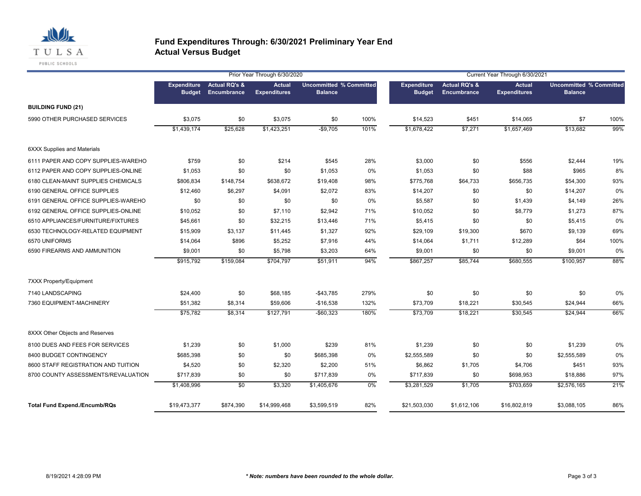

#### **Fund Expenditures Through: 6/30/2021 Preliminary Year End Actual Versus Budget**

|                                      |                                     |                                         | Prior Year Through 6/30/2020         |                                                  |       | Current Year Through 6/30/2021      |                                         |                                      |                                                  |       |  |
|--------------------------------------|-------------------------------------|-----------------------------------------|--------------------------------------|--------------------------------------------------|-------|-------------------------------------|-----------------------------------------|--------------------------------------|--------------------------------------------------|-------|--|
|                                      | <b>Expenditure</b><br><b>Budget</b> | <b>Actual RQ's &amp;</b><br>Encumbrance | <b>Actual</b><br><b>Expenditures</b> | <b>Uncommitted % Committed</b><br><b>Balance</b> |       | <b>Expenditure</b><br><b>Budget</b> | <b>Actual RQ's &amp;</b><br>Encumbrance | <b>Actual</b><br><b>Expenditures</b> | <b>Uncommitted % Committed</b><br><b>Balance</b> |       |  |
| <b>BUILDING FUND (21)</b>            |                                     |                                         |                                      |                                                  |       |                                     |                                         |                                      |                                                  |       |  |
| 5990 OTHER PURCHASED SERVICES        | \$3,075                             | \$0                                     | \$3,075                              | \$0                                              | 100%  | \$14,523                            | \$451                                   | \$14,065                             | \$7                                              | 100%  |  |
|                                      | \$1,439,174                         | \$25,628                                | \$1,423,251                          | $-$9,705$                                        | 101%  | \$1,678,422                         | \$7,271                                 | \$1,657,469                          | \$13,682                                         | 99%   |  |
| <b>6XXX Supplies and Materials</b>   |                                     |                                         |                                      |                                                  |       |                                     |                                         |                                      |                                                  |       |  |
| 6111 PAPER AND COPY SUPPLIES-WAREHO  | \$759                               | \$0                                     | \$214                                | \$545                                            | 28%   | \$3,000                             | \$0                                     | \$556                                | \$2,444                                          | 19%   |  |
| 6112 PAPER AND COPY SUPPLIES-ONLINE  | \$1,053                             | \$0                                     | \$0                                  | \$1,053                                          | 0%    | \$1,053                             | \$0                                     | \$88                                 | \$965                                            | 8%    |  |
| 6180 CLEAN-MAINT SUPPLIES CHEMICALS  | \$806,834                           | \$148,754                               | \$638,672                            | \$19,408                                         | 98%   | \$775,768                           | \$64,733                                | \$656,735                            | \$54,300                                         | 93%   |  |
| 6190 GENERAL OFFICE SUPPLIES         | \$12,460                            | \$6,297                                 | \$4,091                              | \$2,072                                          | 83%   | \$14,207                            | \$0                                     | \$0                                  | \$14,207                                         | $0\%$ |  |
| 6191 GENERAL OFFICE SUPPLIES-WAREHO  | \$0                                 | \$0                                     | \$0                                  | \$0                                              | 0%    | \$5,587                             | \$0                                     | \$1,439                              | \$4,149                                          | 26%   |  |
| 6192 GENERAL OFFICE SUPPLIES-ONLINE  | \$10,052                            | \$0                                     | \$7,110                              | \$2,942                                          | 71%   | \$10,052                            | \$0                                     | \$8,779                              | \$1,273                                          | 87%   |  |
| 6510 APPLIANCES/FURNITURE/FIXTURES   | \$45,661                            | \$0                                     | \$32,215                             | \$13,446                                         | 71%   | \$5,415                             | \$0                                     | \$0                                  | \$5,415                                          | 0%    |  |
| 6530 TECHNOLOGY-RELATED EQUIPMENT    | \$15,909                            | \$3,137                                 | \$11,445                             | \$1,327                                          | 92%   | \$29,109                            | \$19,300                                | \$670                                | \$9,139                                          | 69%   |  |
| 6570 UNIFORMS                        | \$14,064                            | \$896                                   | \$5,252                              | \$7,916                                          | 44%   | \$14,064                            | \$1,711                                 | \$12,289                             | \$64                                             | 100%  |  |
| 6590 FIREARMS AND AMMUNITION         | \$9,001                             | \$0                                     | \$5,798                              | \$3,203                                          | 64%   | \$9,001                             | \$0                                     | \$0                                  | \$9,001                                          | 0%    |  |
|                                      | \$915,792                           | \$159,084                               | \$704,797                            | \$51,911                                         | 94%   | \$867,257                           | \$85,744                                | \$680,555                            | \$100,957                                        | 88%   |  |
| 7XXX Property/Equipment              |                                     |                                         |                                      |                                                  |       |                                     |                                         |                                      |                                                  |       |  |
| 7140 LANDSCAPING                     | \$24,400                            | \$0                                     | \$68,185                             | $-$43,785$                                       | 279%  | \$0                                 | \$0                                     | \$0                                  | \$0                                              | 0%    |  |
| 7360 EQUIPMENT-MACHINERY             | \$51,382                            | \$8,314                                 | \$59,606                             | $-$16,538$                                       | 132%  | \$73,709                            | \$18,221                                | \$30,545                             | \$24,944                                         | 66%   |  |
|                                      | \$75,782                            | \$8,314                                 | \$127,791                            | $-$60,323$                                       | 180%  | \$73,709                            | \$18,221                                | \$30,545                             | \$24,944                                         | 66%   |  |
| 8XXX Other Objects and Reserves      |                                     |                                         |                                      |                                                  |       |                                     |                                         |                                      |                                                  |       |  |
| 8100 DUES AND FEES FOR SERVICES      | \$1,239                             | \$0                                     | \$1,000                              | \$239                                            | 81%   | \$1,239                             | \$0                                     | \$0                                  | \$1,239                                          | 0%    |  |
| 8400 BUDGET CONTINGENCY              | \$685,398                           | \$0                                     | \$0                                  | \$685,398                                        | $0\%$ | \$2,555,589                         | \$0                                     | \$0                                  | \$2,555,589                                      | 0%    |  |
| 8600 STAFF REGISTRATION AND TUITION  | \$4,520                             | \$0                                     | \$2,320                              | \$2,200                                          | 51%   | \$6,862                             | \$1,705                                 | \$4,706                              | \$451                                            | 93%   |  |
| 8700 COUNTY ASSESSMENTS/REVALUATION  | \$717,839                           | \$0                                     | \$0                                  | \$717,839                                        | 0%    | \$717,839                           | \$0                                     | \$698,953                            | \$18,886                                         | 97%   |  |
|                                      | \$1,408,996                         | \$0                                     | \$3,320                              | \$1,405,676                                      | $0\%$ | \$3,281,529                         | \$1,705                                 | \$703,659                            | \$2,576,165                                      | 21%   |  |
| <b>Total Fund Expend./Encumb/RQs</b> | \$19,473,377                        | \$874,390                               | \$14,999,468                         | \$3,599,519                                      | 82%   | \$21,503,030                        | \$1,612,106                             | \$16,802,819                         | \$3,088,105                                      | 86%   |  |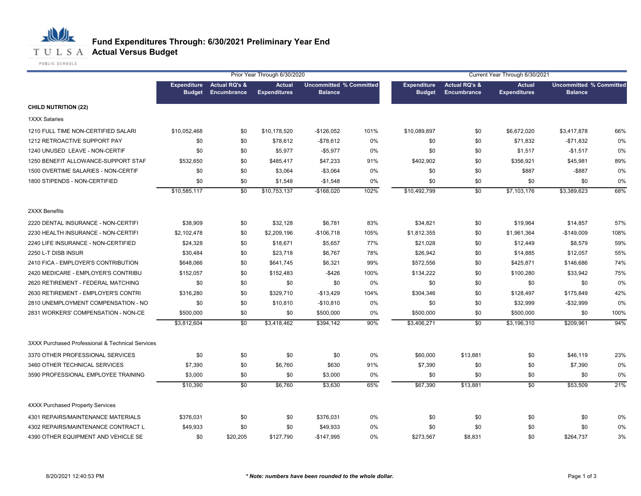

|                                                  |                                     |                                         | Prior Year Through 6/30/2020         |                | Current Year Through 6/30/2021<br><b>Uncommitted % Committed</b><br><b>Actual RQ's &amp;</b><br><b>Expenditure</b><br><b>Actual</b> |               |                 |                     |                                                  |      |
|--------------------------------------------------|-------------------------------------|-----------------------------------------|--------------------------------------|----------------|-------------------------------------------------------------------------------------------------------------------------------------|---------------|-----------------|---------------------|--------------------------------------------------|------|
|                                                  | <b>Expenditure</b><br><b>Budget</b> | <b>Actual RQ's &amp;</b><br>Encumbrance | <b>Actual</b><br><b>Expenditures</b> | <b>Balance</b> |                                                                                                                                     | <b>Budget</b> | Encumbrance     | <b>Expenditures</b> | <b>Uncommitted % Committed</b><br><b>Balance</b> |      |
| <b>CHILD NUTRITION (22)</b>                      |                                     |                                         |                                      |                |                                                                                                                                     |               |                 |                     |                                                  |      |
| 1XXX Salaries                                    |                                     |                                         |                                      |                |                                                                                                                                     |               |                 |                     |                                                  |      |
| 1210 FULL TIME NON-CERTIFIED SALARI              | \$10,052,468                        | \$0                                     | \$10,178,520                         | $-$126,052$    | 101%                                                                                                                                | \$10,089,897  | \$0             | \$6,672,020         | \$3,417,878                                      | 66%  |
| 1212 RETROACTIVE SUPPORT PAY                     | \$0                                 | \$0                                     | \$78,612                             | $- $78,612$    | 0%                                                                                                                                  | \$0           | \$0             | \$71,832            | $-$71,832$                                       | 0%   |
| 1240 UNUSED LEAVE - NON-CERTIF                   | \$0                                 | \$0                                     | \$5,977                              | $-$5,977$      | 0%                                                                                                                                  | \$0           | \$0             | \$1,517             | $-$1,517$                                        | 0%   |
| 1250 BENEFIT ALLOWANCE-SUPPORT STAF              | \$532,650                           | \$0                                     | \$485,417                            | \$47,233       | 91%                                                                                                                                 | \$402,902     | \$0             | \$356,921           | \$45,981                                         | 89%  |
| 1500 OVERTIME SALARIES - NON-CERTIF              | \$0                                 | \$0                                     | \$3,064                              | $-$3,064$      | 0%                                                                                                                                  | \$0           | \$0             | \$887               | $-$ \$887                                        | 0%   |
| 1800 STIPENDS - NON-CERTIFIED                    | \$0                                 | \$0                                     | \$1,548                              | $-$1,548$      | 0%                                                                                                                                  | \$0           | \$0             | \$0                 | \$0                                              | 0%   |
|                                                  | \$10,585,117                        | \$0                                     | \$10,753,137                         | $-$168,020$    | 102%                                                                                                                                | \$10,492,799  | $\overline{50}$ | \$7,103,176         | \$3,389,623                                      | 68%  |
| 2XXX Benefits                                    |                                     |                                         |                                      |                |                                                                                                                                     |               |                 |                     |                                                  |      |
| 2220 DENTAL INSURANCE - NON-CERTIFI              | \$38,909                            | \$0                                     | \$32,128                             | \$6,781        | 83%                                                                                                                                 | \$34,821      | \$0             | \$19,964            | \$14,857                                         | 57%  |
| 2230 HEALTH INSURANCE - NON-CERTIFI              | \$2,102,478                         | \$0                                     | \$2,209,196                          | $-$106,718$    | 105%                                                                                                                                | \$1,812,355   | \$0             | \$1,961,364         | $-$149,009$                                      | 108% |
| 2240 LIFE INSURANCE - NON-CERTIFIED              | \$24,328                            | \$0                                     | \$18,671                             | \$5,657        | 77%                                                                                                                                 | \$21,028      | \$0             | \$12,449            | \$8,579                                          | 59%  |
| 2250 L-T DISB INSUR                              | \$30,484                            | \$0                                     | \$23,718                             | \$6,767        | 78%                                                                                                                                 | \$26,942      | \$0             | \$14,885            | \$12,057                                         | 55%  |
| 2410 FICA - EMPLOYER'S CONTRIBUTION              | \$648,066                           | \$0                                     | \$641,745                            | \$6,321        | 99%                                                                                                                                 | \$572,556     | \$0             | \$425,871           | \$146,686                                        | 74%  |
| 2420 MEDICARE - EMPLOYER'S CONTRIBU              | \$152,057                           | \$0                                     | \$152,483                            | $-$ \$426      | 100%                                                                                                                                | \$134,222     | \$0             | \$100,280           | \$33,942                                         | 75%  |
| 2620 RETIREMENT - FEDERAL MATCHING               | \$0                                 | \$0                                     | \$0                                  | \$0            | 0%                                                                                                                                  | \$0           | \$0             | \$0                 | \$0                                              | 0%   |
| 2630 RETIREMENT - EMPLOYER'S CONTRI              | \$316,280                           | \$0                                     | \$329,710                            | $-$13,429$     | 104%                                                                                                                                | \$304,346     | \$0             | \$128,497           | \$175,849                                        | 42%  |
| 2810 UNEMPLOYMENT COMPENSATION - NO              | \$0                                 | \$0                                     | \$10,810                             | $-$10,810$     | 0%                                                                                                                                  | \$0           | \$0             | \$32,999            | $-$32,999$                                       | 0%   |
| 2831 WORKERS' COMPENSATION - NON-CE              | \$500,000                           | \$0                                     | \$0                                  | \$500,000      | 0%                                                                                                                                  | \$500,000     | \$0             | \$500,000           | \$0                                              | 100% |
|                                                  | \$3,812,604                         | $\overline{50}$                         | \$3,418,462                          | \$394,142      | 90%                                                                                                                                 | \$3,406,271   | $\overline{50}$ | \$3,196,310         | \$209,961                                        | 94%  |
| 3XXX Purchased Professional & Technical Services |                                     |                                         |                                      |                |                                                                                                                                     |               |                 |                     |                                                  |      |
| 3370 OTHER PROFESSIONAL SERVICES                 | \$0                                 | \$0                                     | \$0                                  | \$0            | 0%                                                                                                                                  | \$60,000      | \$13,881        | \$0                 | \$46,119                                         | 23%  |
| 3460 OTHER TECHNICAL SERVICES                    | \$7,390                             | \$0                                     | \$6,760                              | \$630          | 91%                                                                                                                                 | \$7,390       | \$0             | \$0                 | \$7,390                                          | 0%   |
| 3590 PROFESSIONAL EMPLOYEE TRAINING              | \$3,000                             | \$0                                     | \$0                                  | \$3,000        | 0%                                                                                                                                  | \$0           | \$0             | \$0                 | \$0                                              | 0%   |
|                                                  | \$10,390                            | \$0                                     | \$6,760                              | \$3,630        | 65%                                                                                                                                 | \$67,390      | \$13,881        | \$0                 | \$53,509                                         | 21%  |
| <b>4XXX Purchased Property Services</b>          |                                     |                                         |                                      |                |                                                                                                                                     |               |                 |                     |                                                  |      |
| 4301 REPAIRS/MAINTENANCE MATERIALS               | \$376,031                           | \$0                                     | \$0                                  | \$376,031      | 0%                                                                                                                                  | \$0           | \$0             | \$0                 | \$0                                              | 0%   |
| 4302 REPAIRS/MAINTENANCE CONTRACT L              | \$49,933                            | \$0                                     | \$0                                  | \$49,933       | 0%                                                                                                                                  | \$0           | \$0             | \$0                 | \$0                                              | 0%   |
| 4390 OTHER EQUIPMENT AND VEHICLE SE              | \$0                                 | \$20,205                                | \$127,790                            | $-$147,995$    | $0\%$                                                                                                                               | \$273,567     | \$8,831         | \$0                 | \$264,737                                        | 3%   |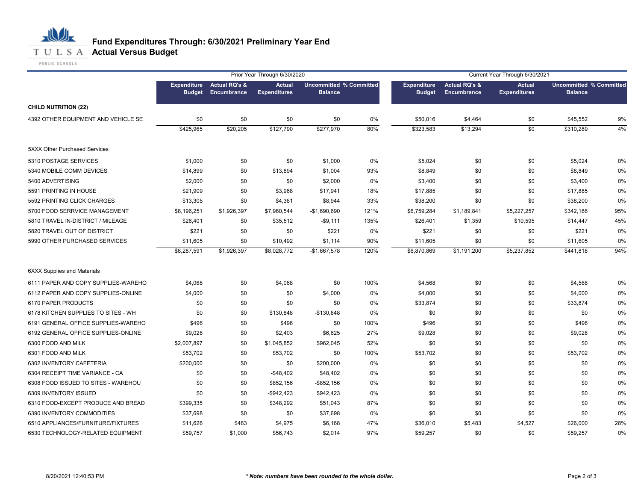#### 心儿 **Fund Expenditures Through: 6/30/2021 Preliminary Year End T U L S A Actual Versus Budget**

|                                     |                                     |                                         | Prior Year Through 6/30/2020         |                                                  |      |                                     |                              | Current Year Through 6/30/2021       |                                                  |     |
|-------------------------------------|-------------------------------------|-----------------------------------------|--------------------------------------|--------------------------------------------------|------|-------------------------------------|------------------------------|--------------------------------------|--------------------------------------------------|-----|
|                                     | <b>Expenditure</b><br><b>Budget</b> | <b>Actual RQ's &amp;</b><br>Encumbrance | <b>Actual</b><br><b>Expenditures</b> | <b>Uncommitted % Committed</b><br><b>Balance</b> |      | <b>Expenditure</b><br><b>Budget</b> | Actual RQ's &<br>Encumbrance | <b>Actual</b><br><b>Expenditures</b> | <b>Uncommitted % Committed</b><br><b>Balance</b> |     |
| <b>CHILD NUTRITION (22)</b>         |                                     |                                         |                                      |                                                  |      |                                     |                              |                                      |                                                  |     |
| 4392 OTHER EQUIPMENT AND VEHICLE SE | \$0                                 | \$0                                     | \$0                                  | \$0                                              | 0%   | \$50,016                            | \$4,464                      | \$0                                  | \$45,552                                         | 9%  |
|                                     | \$425,965                           | \$20,205                                | \$127,790                            | \$277,970                                        | 80%  | \$323,583                           | \$13,294                     | \$0                                  | \$310,289                                        | 4%  |
| 5XXX Other Purchased Services       |                                     |                                         |                                      |                                                  |      |                                     |                              |                                      |                                                  |     |
| 5310 POSTAGE SERVICES               | \$1,000                             | \$0                                     | \$0                                  | \$1,000                                          | 0%   | \$5,024                             | \$0                          | \$0                                  | \$5,024                                          | 0%  |
| 5340 MOBILE COMM DEVICES            | \$14,899                            | \$0                                     | \$13,894                             | \$1,004                                          | 93%  | \$8,849                             | \$0                          | \$0                                  | \$8,849                                          | 0%  |
| 5400 ADVERTISING                    | \$2,000                             | \$0                                     | \$0                                  | \$2,000                                          | 0%   | \$3,400                             | \$0                          | \$0                                  | \$3,400                                          | 0%  |
| 5591 PRINTING IN HOUSE              | \$21,909                            | \$0                                     | \$3,968                              | \$17,941                                         | 18%  | \$17,885                            | \$0                          | \$0                                  | \$17,885                                         | 0%  |
| 5592 PRINTING CLICK CHARGES         | \$13,305                            | \$0                                     | \$4,361                              | \$8,944                                          | 33%  | \$38,200                            | \$0                          | \$0                                  | \$38,200                                         | 0%  |
| 5700 FOOD SERRVICE MANAGEMENT       | \$8,196,251                         | \$1,926,397                             | \$7,960,544                          | $-$1,690,690$                                    | 121% | \$6,759,284                         | \$1,189,841                  | \$5,227,257                          | \$342,186                                        | 95% |
| 5810 TRAVEL IN-DISTRICT / MILEAGE   | \$26,401                            | \$0                                     | \$35,512                             | $-$ \$9,111                                      | 135% | \$26,401                            | \$1,359                      | \$10,595                             | \$14,447                                         | 45% |
| 5820 TRAVEL OUT OF DISTRICT         | \$221                               | \$0                                     | \$0                                  | \$221                                            | 0%   | \$221                               | \$0                          | \$0                                  | \$221                                            | 0%  |
| 5990 OTHER PURCHASED SERVICES       | \$11,605                            | \$0                                     | \$10,492                             | \$1,114                                          | 90%  | \$11,605                            | \$0                          | \$0                                  | \$11,605                                         | 0%  |
|                                     | \$8,287,591                         | \$1,926,397                             | \$8,028,772                          | $-$1,667,578$                                    | 120% | \$6,870,869                         | \$1,191,200                  | \$5,237,852                          | \$441,818                                        | 94% |
| <b>6XXX Supplies and Materials</b>  |                                     |                                         |                                      |                                                  |      |                                     |                              |                                      |                                                  |     |
| 6111 PAPER AND COPY SUPPLIES-WAREHO | \$4,068                             | \$0                                     | \$4,068                              | \$0                                              | 100% | \$4,568                             | \$0                          | \$0                                  | \$4,568                                          | 0%  |
| 6112 PAPER AND COPY SUPPLIES-ONLINE | \$4,000                             | \$0                                     | \$0                                  | \$4,000                                          | 0%   | \$4,000                             | \$0                          | \$0                                  | \$4,000                                          | 0%  |
| 6170 PAPER PRODUCTS                 | \$0                                 | \$0                                     | \$0                                  | \$0                                              | 0%   | \$33,874                            | \$0                          | \$0                                  | \$33,874                                         | 0%  |
| 6178 KITCHEN SUPPLIES TO SITES - WH | \$0                                 | \$0                                     | \$130,848                            | $-$130,848$                                      | 0%   | \$0                                 | \$0                          | \$0                                  | \$0                                              | 0%  |
| 6191 GENERAL OFFICE SUPPLIES-WAREHO | \$496                               | \$0                                     | \$496                                | \$0                                              | 100% | \$496                               | \$0                          | \$0                                  | \$496                                            | 0%  |
| 6192 GENERAL OFFICE SUPPLIES-ONLINE | \$9,028                             | \$0                                     | \$2,403                              | \$6,625                                          | 27%  | \$9,028                             | \$0                          | \$0                                  | \$9,028                                          | 0%  |
| 6300 FOOD AND MILK                  | \$2,007,897                         | \$0                                     | \$1,045,852                          | \$962,045                                        | 52%  | \$0                                 | \$0                          | \$0                                  | \$0                                              | 0%  |
| 6301 FOOD AND MILK                  | \$53,702                            | \$0                                     | \$53,702                             | \$0                                              | 100% | \$53,702                            | \$0                          | \$0                                  | \$53,702                                         | 0%  |
| 6302 INVENTORY CAFETERIA            | \$200,000                           | \$0                                     | \$0                                  | \$200,000                                        | 0%   | \$0                                 | \$0                          | \$0                                  | \$0                                              | 0%  |
| 6304 RECEIPT TIME VARIANCE - CA     | \$0                                 | \$0                                     | $-$ \$48,402                         | \$48,402                                         | 0%   | \$0                                 | \$0                          | \$0                                  | \$0                                              | 0%  |
| 6308 FOOD ISSUED TO SITES - WAREHOU | \$0                                 | \$0                                     | \$852,156                            | $-$ \$852,156                                    | 0%   | \$0                                 | \$0                          | \$0                                  | \$0                                              | 0%  |
| 6309 INVENTORY ISSUED               | \$0                                 | \$0                                     | $-$ \$942,423                        | \$942,423                                        | 0%   | \$0                                 | \$0                          | \$0                                  | \$0                                              | 0%  |
| 6310 FOOD-EXCEPT PRODUCE AND BREAD  | \$399,335                           | \$0                                     | \$348,292                            | \$51,043                                         | 87%  | \$0                                 | \$0                          | \$0                                  | \$0                                              | 0%  |
| 6390 INVENTORY COMMODITIES          | \$37,698                            | \$0                                     | \$0                                  | \$37,698                                         | 0%   | \$0                                 | \$0                          | \$0                                  | \$0                                              | 0%  |
| 6510 APPLIANCES/FURNITURE/FIXTURES  | \$11,626                            | \$483                                   | \$4,975                              | \$6,168                                          | 47%  | \$36,010                            | \$5,483                      | \$4,527                              | \$26,000                                         | 28% |
| 6530 TECHNOLOGY-RELATED EQUIPMENT   | \$59,757                            | \$1,000                                 | \$56,743                             | \$2,014                                          | 97%  | \$59,257                            | \$0                          | \$0                                  | \$59,257                                         | 0%  |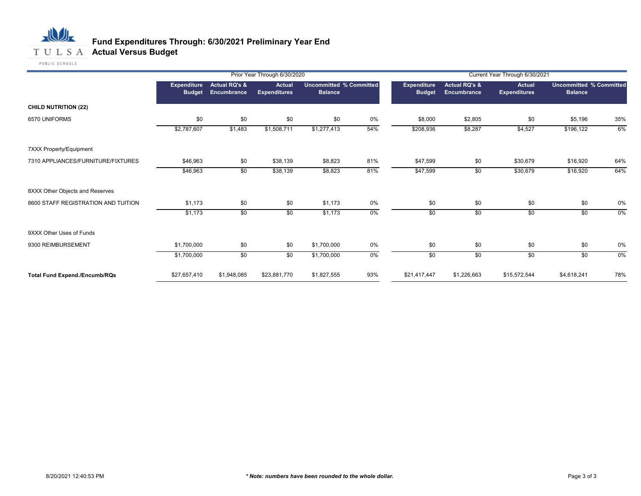# 心儿 **T U L S A Actual Versus Budget**

### **Fund Expenditures Through: 6/30/2021 Preliminary Year End**

|                                      |                              |                                         | Prior Year Through 6/30/2020         |                                                  |       | Current Year Through 6/30/2021      |                                                |                                      |                                                  |       |  |
|--------------------------------------|------------------------------|-----------------------------------------|--------------------------------------|--------------------------------------------------|-------|-------------------------------------|------------------------------------------------|--------------------------------------|--------------------------------------------------|-------|--|
|                                      | Expenditure<br><b>Budget</b> | <b>Actual RQ's &amp;</b><br>Encumbrance | <b>Actual</b><br><b>Expenditures</b> | <b>Uncommitted % Committed</b><br><b>Balance</b> |       | <b>Expenditure</b><br><b>Budget</b> | <b>Actual RQ's &amp;</b><br><b>Encumbrance</b> | <b>Actual</b><br><b>Expenditures</b> | <b>Uncommitted % Committed</b><br><b>Balance</b> |       |  |
| <b>CHILD NUTRITION (22)</b>          |                              |                                         |                                      |                                                  |       |                                     |                                                |                                      |                                                  |       |  |
| 6570 UNIFORMS                        | \$0                          | \$0                                     | \$0                                  | \$0                                              | 0%    | \$8,000                             | \$2,805                                        | \$0                                  | \$5,196                                          | 35%   |  |
|                                      | \$2,787,607                  | \$1,483                                 | \$1,508,711                          | \$1,277,413                                      | 54%   | \$208,936                           | \$8,287                                        | \$4,527                              | \$196,122                                        | 6%    |  |
| 7XXX Property/Equipment              |                              |                                         |                                      |                                                  |       |                                     |                                                |                                      |                                                  |       |  |
| 7310 APPLIANCES/FURNITURE/FIXTURES   | \$46,963                     | \$0                                     | \$38,139                             | \$8,823                                          | 81%   | \$47,599                            | \$0                                            | \$30,679                             | \$16,920                                         | 64%   |  |
|                                      | \$46,963                     | $\sqrt{50}$                             | \$38,139                             | \$8,823                                          | 81%   | \$47,599                            | $\sqrt{6}$                                     | \$30,679                             | \$16,920                                         | 64%   |  |
| 8XXX Other Objects and Reserves      |                              |                                         |                                      |                                                  |       |                                     |                                                |                                      |                                                  |       |  |
| 8600 STAFF REGISTRATION AND TUITION  | \$1,173                      | \$0                                     | \$0                                  | \$1,173                                          | 0%    | \$0                                 | \$0                                            | \$0                                  | \$0                                              | 0%    |  |
|                                      | \$1,173                      | \$0                                     | \$0                                  | \$1,173                                          | $0\%$ | \$0                                 | \$0                                            | \$0                                  | \$0                                              | $0\%$ |  |
| 9XXX Other Uses of Funds             |                              |                                         |                                      |                                                  |       |                                     |                                                |                                      |                                                  |       |  |
| 9300 REIMBURSEMENT                   | \$1,700,000                  | \$0                                     | \$0                                  | \$1,700,000                                      | 0%    | \$0                                 | \$0                                            | \$0                                  | \$0                                              | 0%    |  |
|                                      | \$1,700,000                  | \$0                                     | \$0                                  | \$1,700,000                                      | $0\%$ | $\overline{50}$                     | $\sqrt{50}$                                    | \$0                                  | \$0                                              | $0\%$ |  |
| <b>Total Fund Expend./Encumb/RQs</b> | \$27,657,410                 | \$1,948,085                             | \$23,881,770                         | \$1,827,555                                      | 93%   | \$21,417,447                        | \$1,226,663                                    | \$15,572,544                         | \$4,618,241                                      | 78%   |  |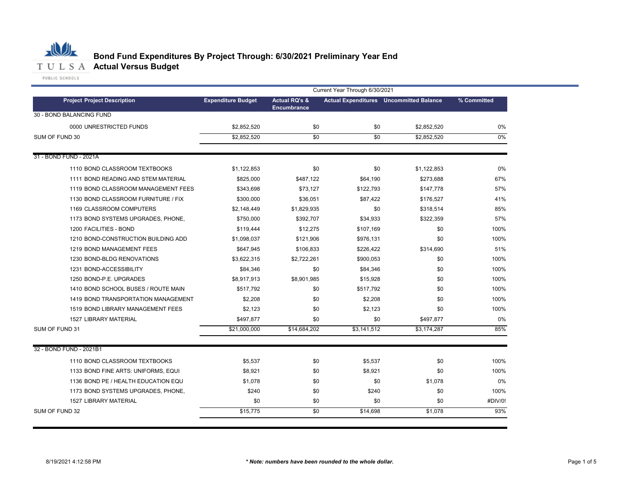|                                     |                           |                          | Current Year Through 6/30/2021 |                                                |             |
|-------------------------------------|---------------------------|--------------------------|--------------------------------|------------------------------------------------|-------------|
| <b>Project Project Description</b>  | <b>Expenditure Budget</b> | <b>Actual RQ's &amp;</b> |                                | <b>Actual Expenditures</b> Uncommitted Balance | % Committed |
| 30 - BOND BALANCING FUND            |                           | <b>Encumbrance</b>       |                                |                                                |             |
| 0000 UNRESTRICTED FUNDS             | \$2,852,520               | \$0                      | \$0                            | \$2,852,520                                    | 0%          |
| SUM OF FUND 30                      | \$2,852,520               | $\overline{50}$          | \$0                            | \$2,852,520                                    | 0%          |
|                                     |                           |                          |                                |                                                |             |
| 31 - BOND FUND - 2021A              |                           |                          |                                |                                                |             |
| 1110 BOND CLASSROOM TEXTBOOKS       | \$1,122,853               | \$0                      | \$0                            | \$1,122,853                                    | 0%          |
| 1111 BOND READING AND STEM MATERIAL | \$825,000                 | \$487,122                | \$64,190                       | \$273,688                                      | 67%         |
| 1119 BOND CLASSROOM MANAGEMENT FEES | \$343,698                 | \$73,127                 | \$122,793                      | \$147,778                                      | 57%         |
| 1130 BOND CLASSROOM FURNITURE / FIX | \$300,000                 | \$36,051                 | \$87,422                       | \$176,527                                      | 41%         |
| 1169 CLASSROOM COMPUTERS            | \$2,148,449               | \$1,829,935              | \$0                            | \$318,514                                      | 85%         |
| 1173 BOND SYSTEMS UPGRADES, PHONE,  | \$750,000                 | \$392,707                | \$34,933                       | \$322,359                                      | 57%         |
| 1200 FACILITIES - BOND              | \$119,444                 | \$12,275                 | \$107,169                      | \$0                                            | 100%        |
| 1210 BOND-CONSTRUCTION BUILDING ADD | \$1,098,037               | \$121,906                | \$976,131                      | \$0                                            | 100%        |
| 1219 BOND MANAGEMENT FEES           | \$647,945                 | \$106,833                | \$226,422                      | \$314,690                                      | 51%         |
| 1230 BOND-BLDG RENOVATIONS          | \$3,622,315               | \$2,722,261              | \$900,053                      | \$0                                            | 100%        |
| 1231 BOND-ACCESSIBILITY             | \$84,346                  | \$0                      | \$84,346                       | \$0                                            | 100%        |
| 1250 BOND-P.E. UPGRADES             | \$8,917,913               | \$8,901,985              | \$15,928                       | \$0                                            | 100%        |
| 1410 BOND SCHOOL BUSES / ROUTE MAIN | \$517,792                 | \$0                      | \$517,792                      | \$0                                            | 100%        |
| 1419 BOND TRANSPORTATION MANAGEMENT | \$2,208                   | \$0                      | \$2,208                        | \$0                                            | 100%        |
| 1519 BOND LIBRARY MANAGEMENT FEES   | \$2,123                   | \$0                      | \$2,123                        | \$0                                            | 100%        |
| <b>1527 LIBRARY MATERIAL</b>        | \$497,877                 | \$0                      | \$0                            | \$497,877                                      | $0\%$       |
| SUM OF FUND 31                      | \$21,000,000              | \$14,684,202             | \$3,141,512                    | \$3,174,287                                    | 85%         |
| 32 - BOND FUND - 2021B1             |                           |                          |                                |                                                |             |
| 1110 BOND CLASSROOM TEXTBOOKS       | \$5,537                   | \$0                      | \$5,537                        | \$0                                            | 100%        |
| 1133 BOND FINE ARTS: UNIFORMS, EQUI | \$8,921                   | \$0                      | \$8,921                        | \$0                                            | 100%        |
| 1136 BOND PE / HEALTH EDUCATION EQU | \$1,078                   | \$0                      | \$0                            | \$1,078                                        | 0%          |
| 1173 BOND SYSTEMS UPGRADES, PHONE,  | \$240                     | \$0                      | \$240                          | \$0                                            | 100%        |
| 1527 LIBRARY MATERIAL               | \$0                       | \$0                      | \$0                            | \$0                                            | #DIV/0!     |
| SUM OF FUND 32                      | \$15,775                  | \$0                      | \$14,698                       | \$1,078                                        | 93%         |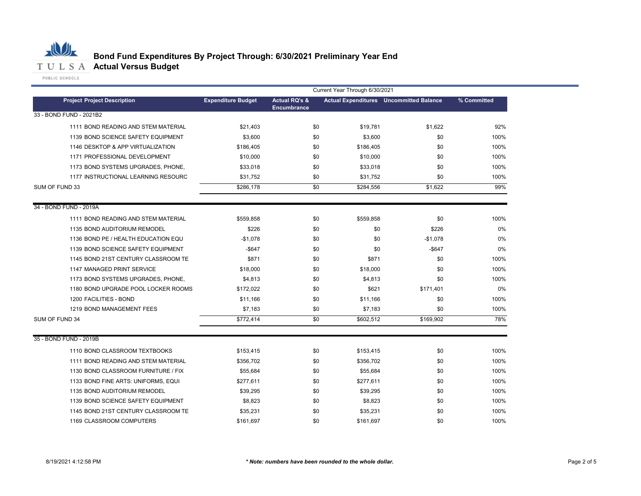

|                                                                      |                           | Current Year Through 6/30/2021 |                        |                                                |              |
|----------------------------------------------------------------------|---------------------------|--------------------------------|------------------------|------------------------------------------------|--------------|
| <b>Project Project Description</b>                                   | <b>Expenditure Budget</b> | <b>Actual RQ's &amp;</b>       |                        | <b>Actual Expenditures</b> Uncommitted Balance | % Committed  |
| 33 - BOND FUND - 2021B2                                              |                           | <b>Encumbrance</b>             |                        |                                                |              |
| 1111 BOND READING AND STEM MATERIAL                                  | \$21,403                  | \$0                            | \$19,781               | \$1,622                                        | 92%          |
| 1139 BOND SCIENCE SAFETY EQUIPMENT                                   | \$3,600                   | \$0                            | \$3,600                | \$0                                            | 100%         |
| 1146 DESKTOP & APP VIRTUALIZATION                                    | \$186,405                 | \$0                            | \$186,405              | \$0                                            | 100%         |
| 1171 PROFESSIONAL DEVELOPMENT                                        | \$10,000                  | \$0                            | \$10,000               | \$0                                            | 100%         |
| 1173 BOND SYSTEMS UPGRADES, PHONE,                                   | \$33,018                  | \$0                            | \$33,018               | \$0                                            | 100%         |
| 1177 INSTRUCTIONAL LEARNING RESOURC                                  | \$31,752                  | \$0                            | \$31,752               | \$0                                            | 100%         |
| SUM OF FUND 33                                                       | \$286,178                 | \$0                            | \$284,556              | \$1,622                                        | 99%          |
|                                                                      |                           |                                |                        |                                                |              |
| 34 - BOND FUND - 2019A                                               |                           |                                |                        |                                                |              |
| 1111 BOND READING AND STEM MATERIAL                                  | \$559,858                 | \$0                            | \$559,858              | \$0                                            | 100%         |
| 1135 BOND AUDITORIUM REMODEL                                         | \$226                     | \$0                            | \$0                    | \$226                                          | 0%           |
| 1136 BOND PE / HEALTH EDUCATION EQU                                  | $-$1,078$                 | \$0                            | \$0                    | $-$1,078$                                      | 0%           |
| 1139 BOND SCIENCE SAFETY EQUIPMENT                                   | $-$ \$647                 | \$0                            | \$0                    | $-$ \$647                                      | 0%           |
| 1145 BOND 21ST CENTURY CLASSROOM TE                                  | \$871                     | \$0                            | \$871                  | \$0                                            | 100%         |
| 1147 MANAGED PRINT SERVICE                                           | \$18,000                  | \$0                            | \$18,000               | \$0                                            | 100%         |
| 1173 BOND SYSTEMS UPGRADES, PHONE,                                   | \$4,813                   | \$0                            | \$4,813                | \$0                                            | 100%         |
| 1180 BOND UPGRADE POOL LOCKER ROOMS                                  | \$172,022                 | \$0                            | \$621                  | \$171,401                                      | 0%           |
| 1200 FACILITIES - BOND                                               | \$11.166                  | \$0                            | \$11.166               | \$0                                            | 100%         |
| 1219 BOND MANAGEMENT FEES                                            | \$7,183                   | \$0                            | \$7,183                | \$0                                            | 100%         |
| SUM OF FUND 34                                                       | \$772,414                 | \$0                            | \$602,512              | \$169,902                                      | 78%          |
| 35 - BOND FUND - 2019B                                               |                           |                                |                        |                                                |              |
|                                                                      |                           |                                |                        |                                                |              |
| 1110 BOND CLASSROOM TEXTBOOKS<br>1111 BOND READING AND STEM MATERIAL | \$153,415                 | \$0<br>\$0                     | \$153,415<br>\$356,702 | \$0<br>\$0                                     | 100%<br>100% |
| 1130 BOND CLASSROOM FURNITURE / FIX                                  | \$356,702<br>\$55,684     | \$0                            | \$55.684               | \$0                                            | 100%         |
|                                                                      |                           |                                |                        |                                                |              |
| 1133 BOND FINE ARTS: UNIFORMS, EQUI                                  | \$277,611                 | \$0                            | \$277,611              | \$0                                            | 100%         |
| 1135 BOND AUDITORIUM REMODEL                                         | \$39,295                  | \$0                            | \$39,295               | \$0                                            | 100%         |
| 1139 BOND SCIENCE SAFETY EQUIPMENT                                   | \$8,823                   | \$0                            | \$8,823                | \$0                                            | 100%         |
| 1145 BOND 21ST CENTURY CLASSROOM TE                                  | \$35,231                  | \$0                            | \$35,231               | \$0                                            | 100%         |
| 1169 CLASSROOM COMPUTERS                                             | \$161,697                 | \$0                            | \$161.697              | \$0                                            | 100%         |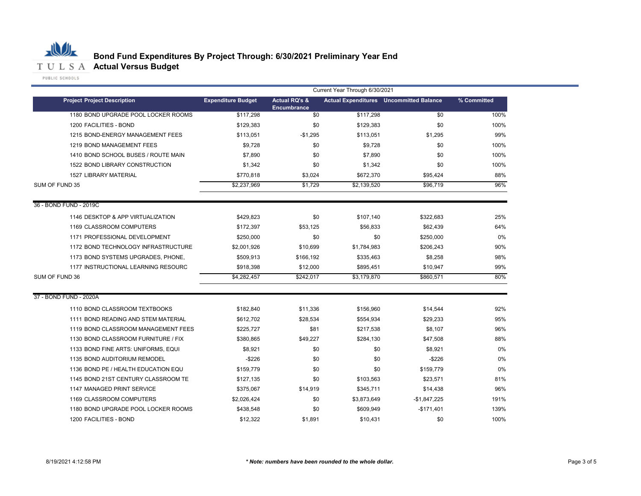

|                                     | Current Year Through 6/30/2021 |                                       |             |                                                |             |  |  |
|-------------------------------------|--------------------------------|---------------------------------------|-------------|------------------------------------------------|-------------|--|--|
| <b>Project Project Description</b>  | <b>Expenditure Budget</b>      | <b>Actual RQ's &amp;</b>              |             | <b>Actual Expenditures</b> Uncommitted Balance | % Committed |  |  |
| 1180 BOND UPGRADE POOL LOCKER ROOMS | \$117,298                      | <b>Encumbrance</b><br>$\overline{50}$ | \$117,298   | \$0                                            | 100%        |  |  |
| 1200 FACILITIES - BOND              | \$129,383                      | \$0                                   | \$129,383   | \$0                                            | 100%        |  |  |
| 1215 BOND-ENERGY MANAGEMENT FEES    | \$113,051                      | $-$1,295$                             | \$113,051   | \$1,295                                        | 99%         |  |  |
| 1219 BOND MANAGEMENT FEES           | \$9,728                        | \$0                                   | \$9,728     | \$0                                            | 100%        |  |  |
| 1410 BOND SCHOOL BUSES / ROUTE MAIN | \$7,890                        | \$0                                   | \$7,890     | \$0                                            | 100%        |  |  |
| 1522 BOND LIBRARY CONSTRUCTION      | \$1,342                        | \$0                                   | \$1,342     | \$0                                            | 100%        |  |  |
| <b>1527 LIBRARY MATERIAL</b>        | \$770,818                      | \$3,024                               | \$672,370   | \$95,424                                       | 88%         |  |  |
| SUM OF FUND 35                      | \$2,237,969                    | \$1,729                               | \$2,139,520 | \$96,719                                       | 96%         |  |  |
| 36 - BOND FUND - 2019C              |                                |                                       |             |                                                |             |  |  |
| 1146 DESKTOP & APP VIRTUALIZATION   | \$429,823                      | \$0                                   | \$107,140   | \$322,683                                      | 25%         |  |  |
| 1169 CLASSROOM COMPUTERS            | \$172,397                      | \$53,125                              | \$56,833    | \$62,439                                       | 64%         |  |  |
| 1171 PROFESSIONAL DEVELOPMENT       | \$250,000                      | \$0                                   | \$0         | \$250,000                                      | 0%          |  |  |
| 1172 BOND TECHNOLOGY INFRASTRUCTURE | \$2,001,926                    | \$10,699                              | \$1,784,983 | \$206,243                                      | 90%         |  |  |
| 1173 BOND SYSTEMS UPGRADES, PHONE,  | \$509,913                      | \$166,192                             | \$335,463   | \$8,258                                        | 98%         |  |  |
| 1177 INSTRUCTIONAL LEARNING RESOURC | \$918,398                      | \$12,000                              | \$895,451   | \$10,947                                       | 99%         |  |  |
| SUM OF FUND 36                      | \$4,282,457                    | \$242.017                             | \$3,179,870 | \$860,571                                      | 80%         |  |  |
| 37 - BOND FUND - 2020A              |                                |                                       |             |                                                |             |  |  |
| 1110 BOND CLASSROOM TEXTBOOKS       | \$182,840                      | \$11,336                              | \$156,960   | \$14,544                                       | 92%         |  |  |
| 1111 BOND READING AND STEM MATERIAL | \$612,702                      | \$28,534                              | \$554,934   | \$29,233                                       | 95%         |  |  |
| 1119 BOND CLASSROOM MANAGEMENT FEES | \$225,727                      | \$81                                  | \$217,538   | \$8,107                                        | 96%         |  |  |
| 1130 BOND CLASSROOM FURNITURE / FIX | \$380,865                      | \$49,227                              | \$284,130   | \$47,508                                       | 88%         |  |  |
| 1133 BOND FINE ARTS: UNIFORMS, EQUI | \$8,921                        | \$0                                   | \$0         | \$8,921                                        | 0%          |  |  |
| 1135 BOND AUDITORIUM REMODEL        | $-$226$                        | \$0                                   | \$0         | $-$226$                                        | 0%          |  |  |
| 1136 BOND PE / HEALTH EDUCATION EQU | \$159,779                      | \$0                                   | \$0         | \$159,779                                      | 0%          |  |  |
| 1145 BOND 21ST CENTURY CLASSROOM TE | \$127,135                      | \$0                                   | \$103,563   | \$23,571                                       | 81%         |  |  |
| 1147 MANAGED PRINT SERVICE          | \$375,067                      | \$14,919                              | \$345,711   | \$14,438                                       | 96%         |  |  |
| 1169 CLASSROOM COMPUTERS            | \$2,026,424                    | \$0                                   | \$3,873,649 | -\$1,847,225                                   | 191%        |  |  |
| 1180 BOND UPGRADE POOL LOCKER ROOMS | \$438,548                      | \$0                                   | \$609,949   | $-$171,401$                                    | 139%        |  |  |
| 1200 FACILITIES - BOND              | \$12,322                       | \$1,891                               | \$10,431    | \$0                                            | 100%        |  |  |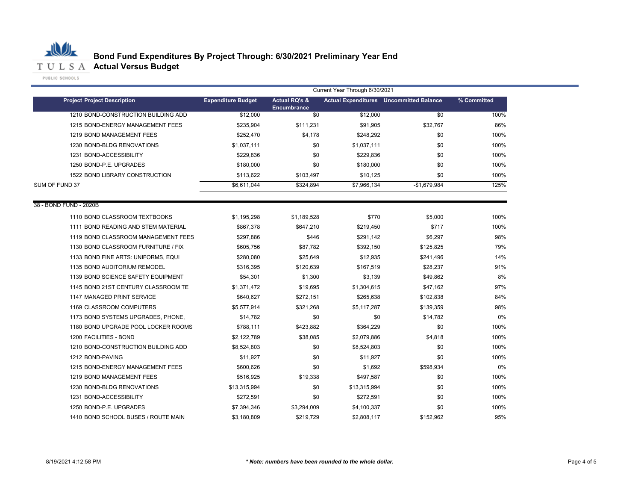

|                                     | Current Year Through 6/30/2021 |                                                |              |                                                |             |  |  |
|-------------------------------------|--------------------------------|------------------------------------------------|--------------|------------------------------------------------|-------------|--|--|
| <b>Project Project Description</b>  | <b>Expenditure Budget</b>      | <b>Actual RQ's &amp;</b><br><b>Encumbrance</b> |              | <b>Actual Expenditures</b> Uncommitted Balance | % Committed |  |  |
| 1210 BOND-CONSTRUCTION BUILDING ADD | \$12,000                       | $\overline{50}$                                | \$12,000     | \$0                                            | 100%        |  |  |
| 1215 BOND-ENERGY MANAGEMENT FEES    | \$235,904                      | \$111,231                                      | \$91,905     | \$32,767                                       | 86%         |  |  |
| 1219 BOND MANAGEMENT FEES           | \$252,470                      | \$4.178                                        | \$248,292    | \$0                                            | 100%        |  |  |
| 1230 BOND-BLDG RENOVATIONS          | \$1,037,111                    | \$0                                            | \$1,037,111  | \$0                                            | 100%        |  |  |
| 1231 BOND-ACCESSIBILITY             | \$229.836                      | \$0                                            | \$229,836    | \$0                                            | 100%        |  |  |
| 1250 BOND-P.E. UPGRADES             | \$180,000                      | \$0                                            | \$180,000    | \$0                                            | 100%        |  |  |
| 1522 BOND LIBRARY CONSTRUCTION      | \$113,622                      | \$103,497                                      | \$10,125     | \$0                                            | 100%        |  |  |
| SUM OF FUND 37                      | \$6,611,044                    | \$324,894                                      | \$7,966,134  | $-$1,679,984$                                  | 125%        |  |  |
| 38 - BOND FUND - 2020B              |                                |                                                |              |                                                |             |  |  |
| 1110 BOND CLASSROOM TEXTBOOKS       | \$1,195,298                    | \$1,189,528                                    | \$770        | \$5,000                                        | 100%        |  |  |
| 1111 BOND READING AND STEM MATERIAL | \$867,378                      | \$647,210                                      | \$219,450    | \$717                                          | 100%        |  |  |
| 1119 BOND CLASSROOM MANAGEMENT FEES | \$297,886                      | \$446                                          | \$291,142    | \$6,297                                        | 98%         |  |  |
| 1130 BOND CLASSROOM FURNITURE / FIX | \$605,756                      | \$87,782                                       | \$392,150    | \$125,825                                      | 79%         |  |  |
| 1133 BOND FINE ARTS: UNIFORMS, EQUI | \$280,080                      | \$25.649                                       | \$12,935     | \$241,496                                      | 14%         |  |  |
| 1135 BOND AUDITORIUM REMODEL        | \$316,395                      | \$120,639                                      | \$167,519    | \$28,237                                       | 91%         |  |  |
| 1139 BOND SCIENCE SAFETY EQUIPMENT  | \$54,301                       | \$1,300                                        | \$3,139      | \$49,862                                       | 8%          |  |  |
| 1145 BOND 21ST CENTURY CLASSROOM TE | \$1,371,472                    | \$19,695                                       | \$1,304,615  | \$47,162                                       | 97%         |  |  |
| 1147 MANAGED PRINT SERVICE          | \$640,627                      | \$272,151                                      | \$265,638    | \$102,838                                      | 84%         |  |  |
| 1169 CLASSROOM COMPUTERS            | \$5,577,914                    | \$321,268                                      | \$5,117,287  | \$139,359                                      | 98%         |  |  |
| 1173 BOND SYSTEMS UPGRADES, PHONE,  | \$14,782                       | \$0                                            | \$0          | \$14,782                                       | 0%          |  |  |
| 1180 BOND UPGRADE POOL LOCKER ROOMS | \$788,111                      | \$423,882                                      | \$364,229    | \$0                                            | 100%        |  |  |
| 1200 FACILITIES - BOND              | \$2,122,789                    | \$38,085                                       | \$2,079,886  | \$4,818                                        | 100%        |  |  |
| 1210 BOND-CONSTRUCTION BUILDING ADD | \$8,524,803                    | \$0                                            | \$8,524,803  | \$0                                            | 100%        |  |  |
| 1212 BOND-PAVING                    | \$11,927                       | \$0                                            | \$11,927     | \$0                                            | 100%        |  |  |
| 1215 BOND-ENERGY MANAGEMENT FEES    | \$600.626                      | \$0                                            | \$1,692      | \$598,934                                      | 0%          |  |  |
| 1219 BOND MANAGEMENT FEES           | \$516,925                      | \$19,338                                       | \$497,587    | \$0                                            | 100%        |  |  |
| 1230 BOND-BLDG RENOVATIONS          | \$13,315,994                   | \$0                                            | \$13,315,994 | \$0                                            | 100%        |  |  |
| 1231 BOND-ACCESSIBILITY             | \$272,591                      | \$0                                            | \$272,591    | \$0                                            | 100%        |  |  |
| 1250 BOND-P.E. UPGRADES             | \$7,394,346                    | \$3,294,009                                    | \$4,100,337  | \$0                                            | 100%        |  |  |
| 1410 BOND SCHOOL BUSES / ROUTE MAIN | \$3,180,809                    | \$219,729                                      | \$2,808,117  | \$152,962                                      | 95%         |  |  |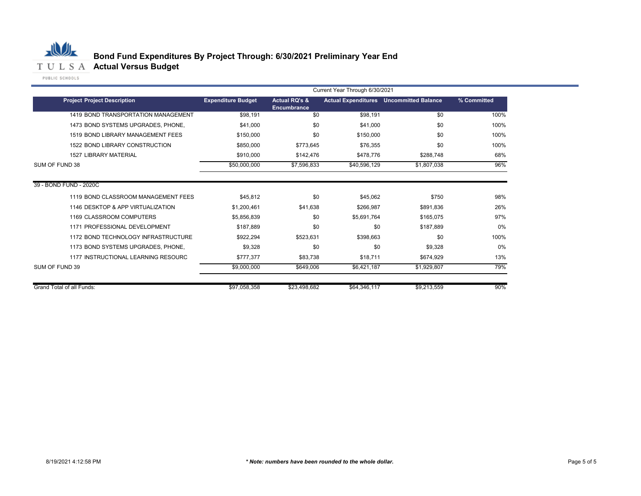

|                           |                                     | Current Year Through 6/30/2021 |                                         |              |                                                |             |  |
|---------------------------|-------------------------------------|--------------------------------|-----------------------------------------|--------------|------------------------------------------------|-------------|--|
|                           | <b>Project Project Description</b>  | <b>Expenditure Budget</b>      | <b>Actual RQ's &amp;</b><br>Encumbrance |              | <b>Actual Expenditures</b> Uncommitted Balance | % Committed |  |
|                           | 1419 BOND TRANSPORTATION MANAGEMENT | \$98,191                       | \$0                                     | \$98,191     | \$0                                            | 100%        |  |
|                           | 1473 BOND SYSTEMS UPGRADES, PHONE.  | \$41,000                       | \$0                                     | \$41,000     | \$0                                            | 100%        |  |
|                           | 1519 BOND LIBRARY MANAGEMENT FEES   | \$150,000                      | \$0                                     | \$150,000    | \$0                                            | 100%        |  |
|                           | 1522 BOND LIBRARY CONSTRUCTION      | \$850,000                      | \$773,645                               | \$76,355     | \$0                                            | 100%        |  |
|                           | <b>1527 LIBRARY MATERIAL</b>        | \$910,000                      | \$142,476                               | \$478,776    | \$288,748                                      | 68%         |  |
| SUM OF FUND 38            |                                     | \$50,000,000                   | \$7,596,833                             | \$40,596,129 | \$1,807,038                                    | 96%         |  |
| 39 - BOND FUND - 2020C    |                                     |                                |                                         |              |                                                |             |  |
|                           | 1119 BOND CLASSROOM MANAGEMENT FEES | \$45,812                       | \$0                                     | \$45,062     | \$750                                          | 98%         |  |
|                           | 1146 DESKTOP & APP VIRTUALIZATION   | \$1,200,461                    | \$41,638                                | \$266,987    | \$891,836                                      | 26%         |  |
|                           | 1169 CLASSROOM COMPUTERS            | \$5,856,839                    | \$0                                     | \$5,691,764  | \$165,075                                      | 97%         |  |
|                           | 1171 PROFESSIONAL DEVELOPMENT       | \$187,889                      | \$0                                     | \$0          | \$187,889                                      | 0%          |  |
|                           | 1172 BOND TECHNOLOGY INFRASTRUCTURE | \$922,294                      | \$523.631                               | \$398,663    | \$0                                            | 100%        |  |
|                           | 1173 BOND SYSTEMS UPGRADES, PHONE,  | \$9,328                        | \$0                                     | \$0          | \$9,328                                        | 0%          |  |
|                           | 1177 INSTRUCTIONAL LEARNING RESOURC | \$777,377                      | \$83,738                                | \$18,711     | \$674,929                                      | 13%         |  |
| SUM OF FUND 39            |                                     | \$9,000,000                    | \$649,006                               | \$6,421,187  | \$1,929,807                                    | 79%         |  |
| Grand Total of all Funds: |                                     | \$97,058,358                   | \$23,498,682                            | \$64,346,117 | \$9,213,559                                    | 90%         |  |